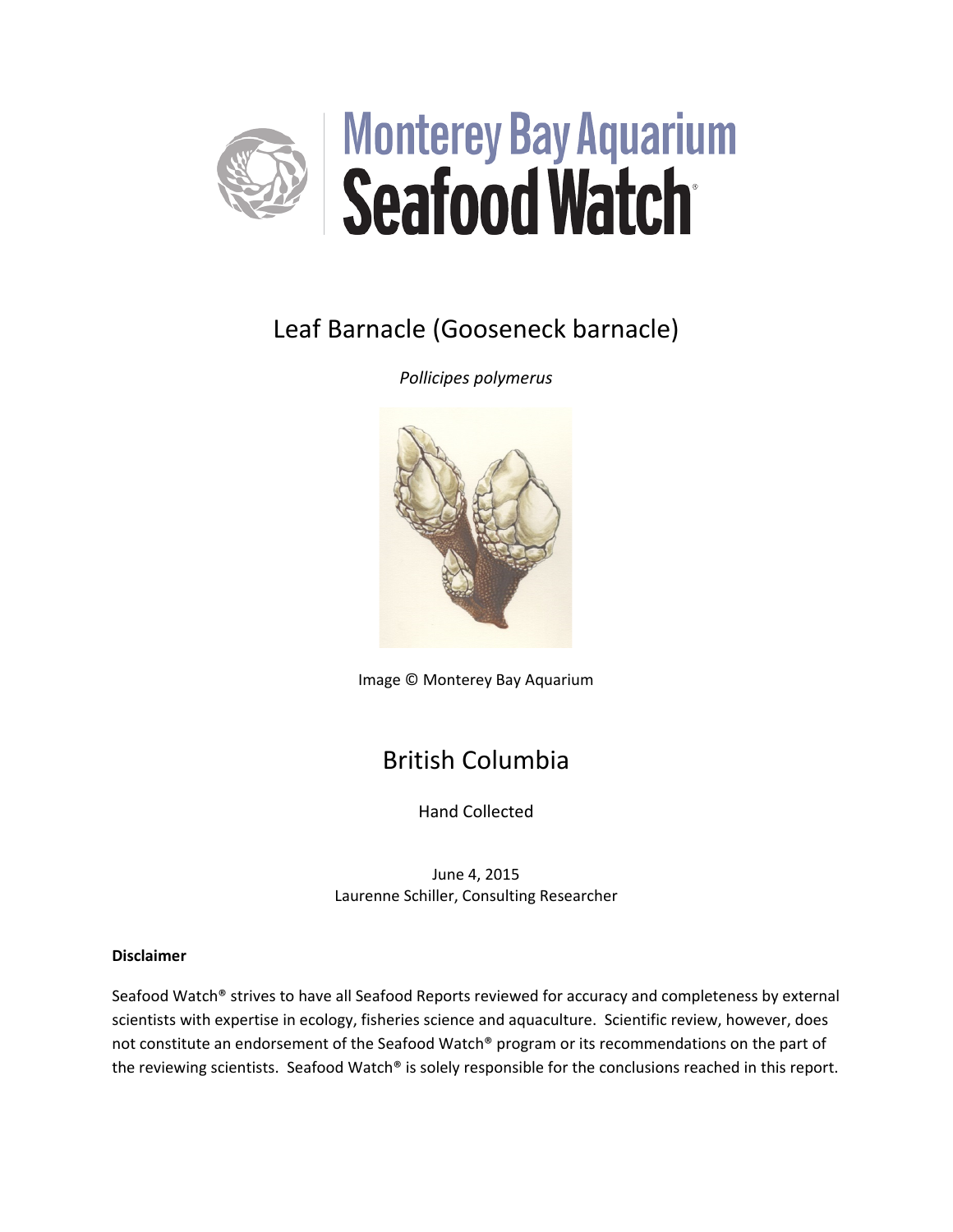

# Leaf Barnacle (Gooseneck barnacle)

*Pollicipes polymerus*



Image © Monterey Bay Aquarium

# British Columbia

Hand Collected

June 4, 2015 Laurenne Schiller, Consulting Researcher

## **Disclaimer**

Seafood Watch® strives to have all Seafood Reports reviewed for accuracy and completeness by external scientists with expertise in ecology, fisheries science and aquaculture. Scientific review, however, does not constitute an endorsement of the Seafood Watch® program or its recommendations on the part of the reviewing scientists. Seafood Watch® is solely responsible for the conclusions reached in this report.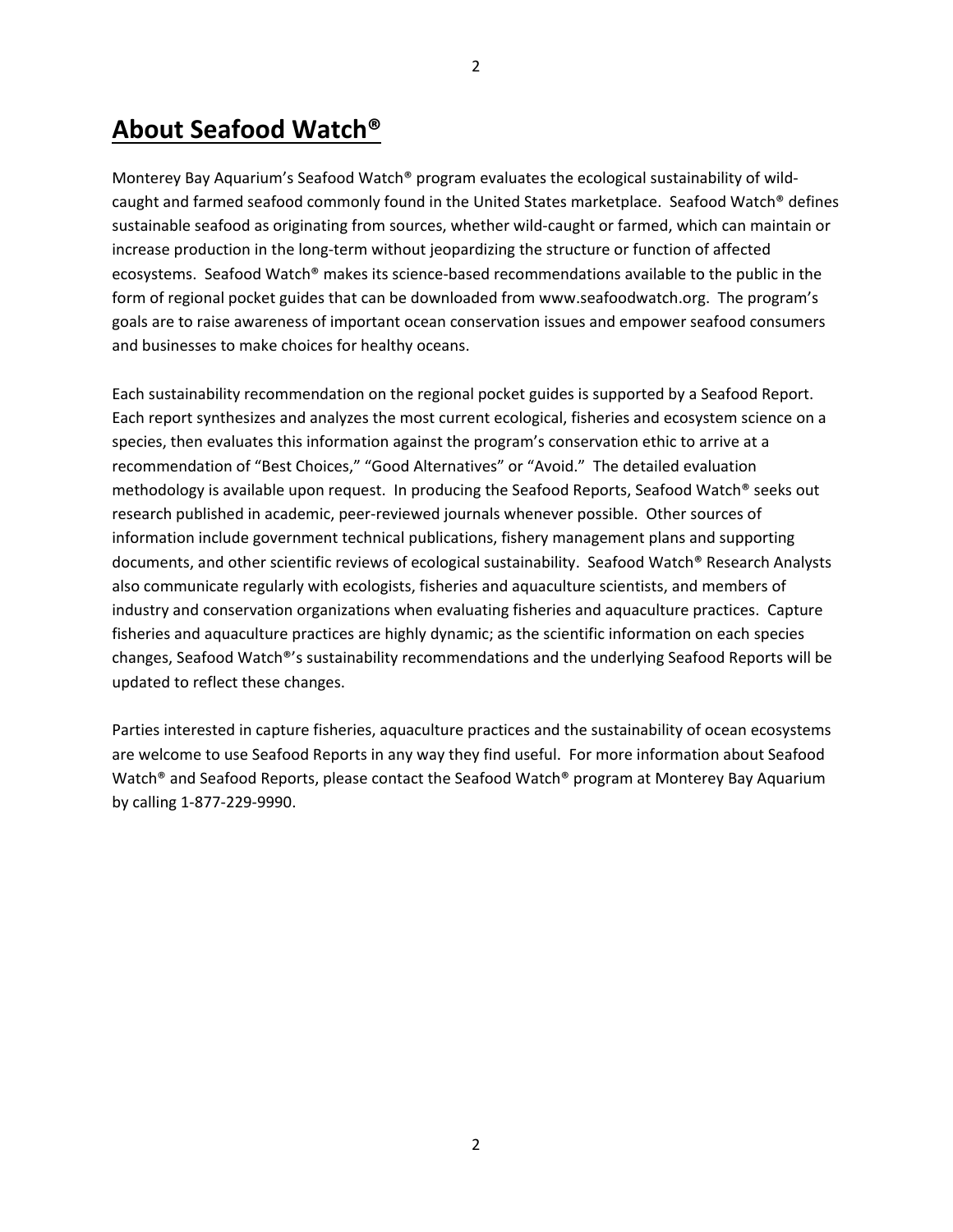# **About Seafood Watch®**

Monterey Bay Aquarium's Seafood Watch® program evaluates the ecological sustainability of wildcaught and farmed seafood commonly found in the United States marketplace. Seafood Watch® defines sustainable seafood as originating from sources, whether wild-caught or farmed, which can maintain or increase production in the long-term without jeopardizing the structure or function of affected ecosystems. Seafood Watch® makes its science-based recommendations available to the public in the form of regional pocket guides that can be downloaded from www.seafoodwatch.org. The program's goals are to raise awareness of important ocean conservation issues and empower seafood consumers and businesses to make choices for healthy oceans.

Each sustainability recommendation on the regional pocket guides is supported by a Seafood Report. Each report synthesizes and analyzes the most current ecological, fisheries and ecosystem science on a species, then evaluates this information against the program's conservation ethic to arrive at a recommendation of "Best Choices," "Good Alternatives" or "Avoid." The detailed evaluation methodology is available upon request. In producing the Seafood Reports, Seafood Watch® seeks out research published in academic, peer-reviewed journals whenever possible. Other sources of information include government technical publications, fishery management plans and supporting documents, and other scientific reviews of ecological sustainability. Seafood Watch® Research Analysts also communicate regularly with ecologists, fisheries and aquaculture scientists, and members of industry and conservation organizations when evaluating fisheries and aquaculture practices. Capture fisheries and aquaculture practices are highly dynamic; as the scientific information on each species changes, Seafood Watch®'s sustainability recommendations and the underlying Seafood Reports will be updated to reflect these changes.

Parties interested in capture fisheries, aquaculture practices and the sustainability of ocean ecosystems are welcome to use Seafood Reports in any way they find useful. For more information about Seafood Watch® and Seafood Reports, please contact the Seafood Watch® program at Monterey Bay Aquarium by calling 1-877-229-9990.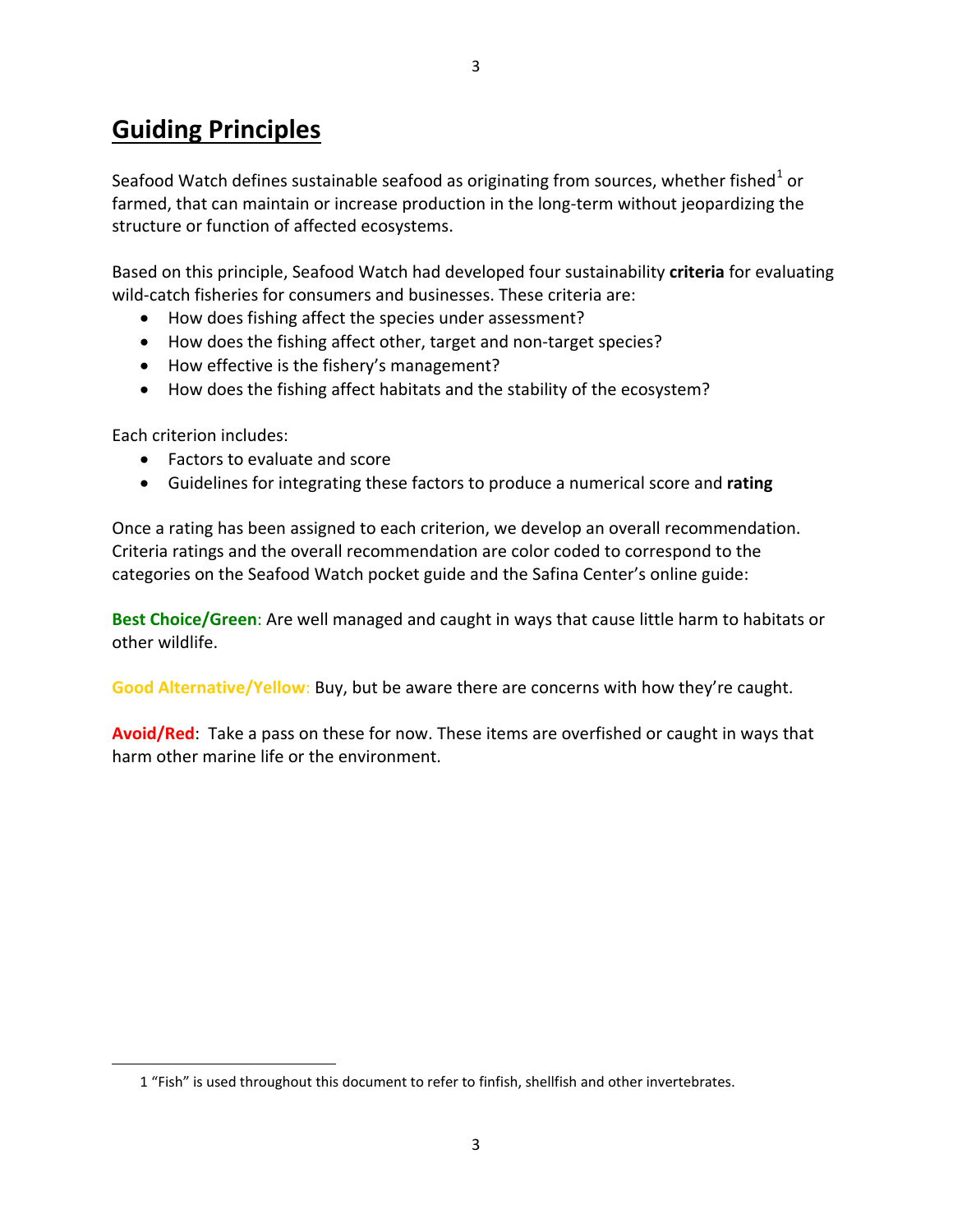# **Guiding Principles**

Seafood Watch defines sustainable seafood as originating from sources, whether fished<sup>[1](#page-2-0)</sup> or farmed, that can maintain or increase production in the long-term without jeopardizing the structure or function of affected ecosystems.

Based on this principle, Seafood Watch had developed four sustainability **criteria** for evaluating wild-catch fisheries for consumers and businesses. These criteria are:

- How does fishing affect the species under assessment?
- How does the fishing affect other, target and non-target species?
- How effective is the fishery's management?
- How does the fishing affect habitats and the stability of the ecosystem?

Each criterion includes:

<span id="page-2-0"></span> $\overline{\phantom{a}}$ 

- Factors to evaluate and score
- Guidelines for integrating these factors to produce a numerical score and **rating**

Once a rating has been assigned to each criterion, we develop an overall recommendation. Criteria ratings and the overall recommendation are color coded to correspond to the categories on the Seafood Watch pocket guide and the Safina Center's online guide:

**Best Choice/Green**: Are well managed and caught in ways that cause little harm to habitats or other wildlife.

**Good Alternative/Yellow**: Buy, but be aware there are concerns with how they're caught.

**Avoid/Red**: Take a pass on these for now. These items are overfished or caught in ways that harm other marine life or the environment.

<sup>1</sup> "Fish" is used throughout this document to refer to finfish, shellfish and other invertebrates.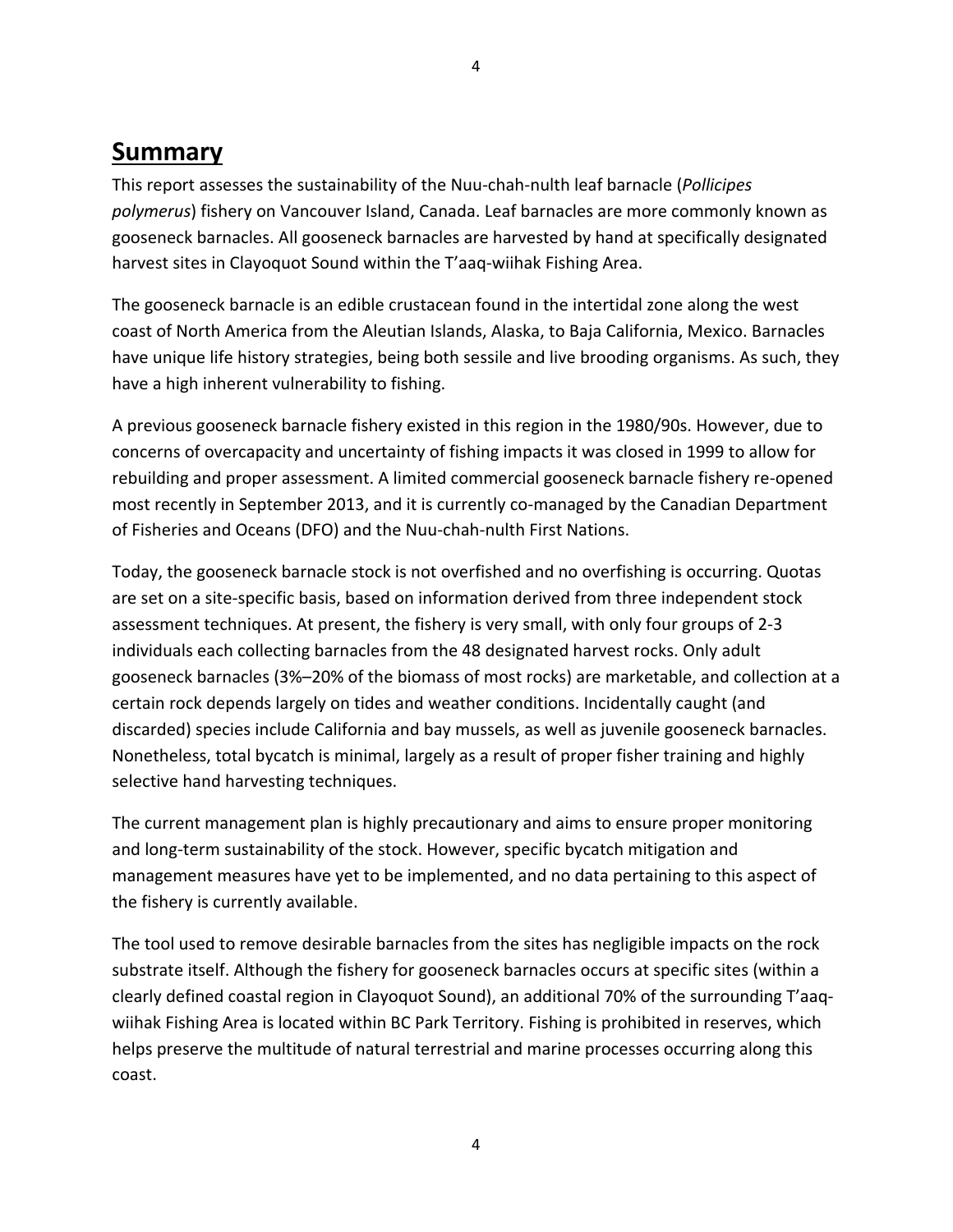# **Summary**

This report assesses the sustainability of the Nuu-chah-nulth leaf barnacle (*Pollicipes polymerus*) fishery on Vancouver Island, Canada. Leaf barnacles are more commonly known as gooseneck barnacles. All gooseneck barnacles are harvested by hand at specifically designated harvest sites in Clayoquot Sound within the T'aaq-wiihak Fishing Area.

The gooseneck barnacle is an edible crustacean found in the intertidal zone along the west coast of North America from the Aleutian Islands, Alaska, to Baja California, Mexico. Barnacles have unique life history strategies, being both sessile and live brooding organisms. As such, they have a high inherent vulnerability to fishing.

A previous gooseneck barnacle fishery existed in this region in the 1980/90s. However, due to concerns of overcapacity and uncertainty of fishing impacts it was closed in 1999 to allow for rebuilding and proper assessment. A limited commercial gooseneck barnacle fishery re-opened most recently in September 2013, and it is currently co-managed by the Canadian Department of Fisheries and Oceans (DFO) and the Nuu-chah-nulth First Nations.

Today, the gooseneck barnacle stock is not overfished and no overfishing is occurring. Quotas are set on a site-specific basis, based on information derived from three independent stock assessment techniques. At present, the fishery is very small, with only four groups of 2-3 individuals each collecting barnacles from the 48 designated harvest rocks. Only adult gooseneck barnacles (3%–20% of the biomass of most rocks) are marketable, and collection at a certain rock depends largely on tides and weather conditions. Incidentally caught (and discarded) species include California and bay mussels, as well as juvenile gooseneck barnacles. Nonetheless, total bycatch is minimal, largely as a result of proper fisher training and highly selective hand harvesting techniques.

The current management plan is highly precautionary and aims to ensure proper monitoring and long-term sustainability of the stock. However, specific bycatch mitigation and management measures have yet to be implemented, and no data pertaining to this aspect of the fishery is currently available.

The tool used to remove desirable barnacles from the sites has negligible impacts on the rock substrate itself. Although the fishery for gooseneck barnacles occurs at specific sites (within a clearly defined coastal region in Clayoquot Sound), an additional 70% of the surrounding T'aaqwiihak Fishing Area is located within BC Park Territory. Fishing is prohibited in reserves, which helps preserve the multitude of natural terrestrial and marine processes occurring along this coast.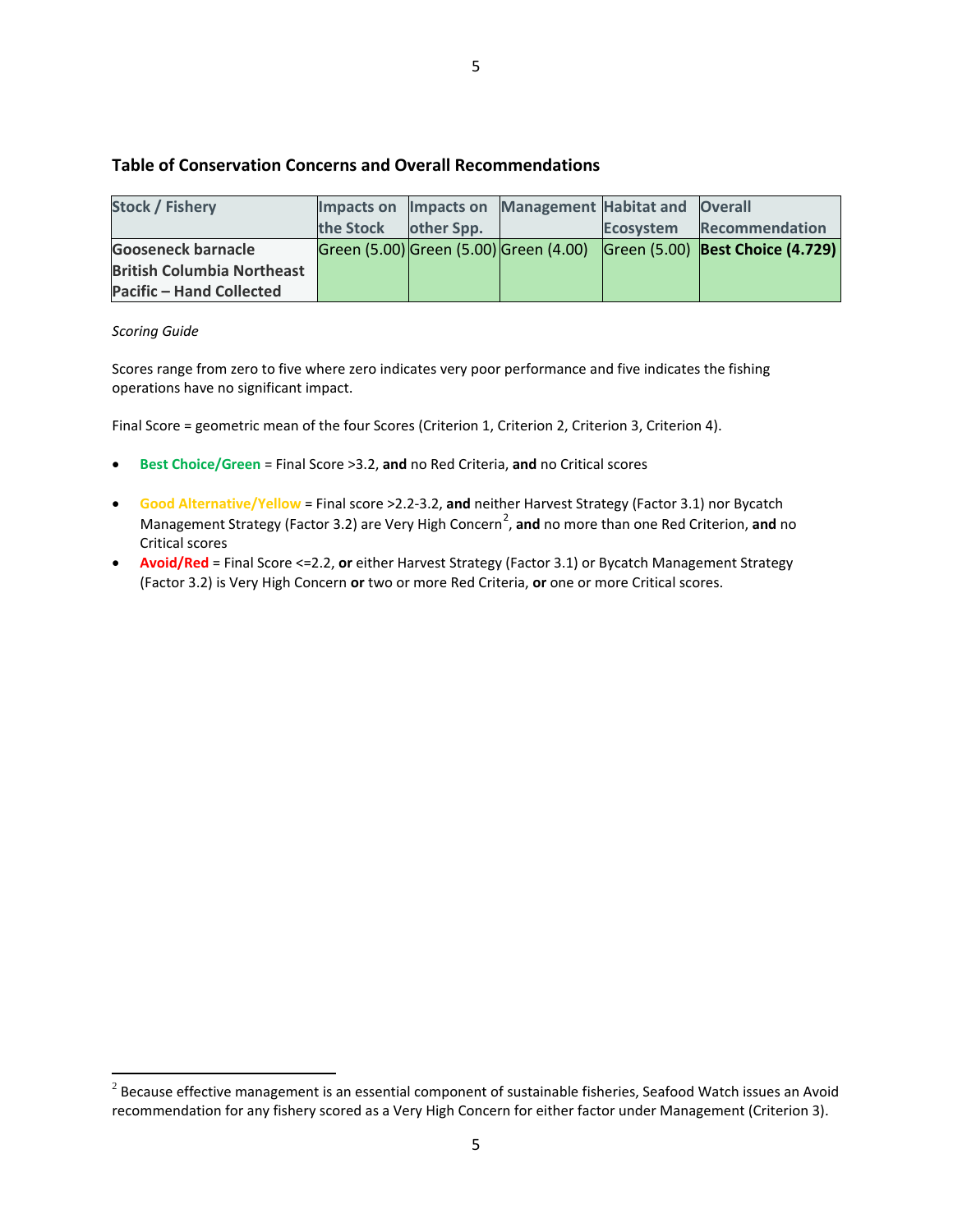### **Table of Conservation Concerns and Overall Recommendations**

| <b>Stock / Fishery</b>            |           |            | Impacts on Impacts on Management Habitat and Overall |                                                                         |
|-----------------------------------|-----------|------------|------------------------------------------------------|-------------------------------------------------------------------------|
|                                   | the Stock | other Spp. |                                                      | Ecosystem Recommendation                                                |
| <b>Gooseneck barnacle</b>         |           |            |                                                      | Green (5.00) Green (5.00) Green (4.00) Green (5.00) Best Choice (4.729) |
| <b>British Columbia Northeast</b> |           |            |                                                      |                                                                         |
| Pacific - Hand Collected          |           |            |                                                      |                                                                         |

#### *Scoring Guide*

 $\overline{\phantom{a}}$ 

Scores range from zero to five where zero indicates very poor performance and five indicates the fishing operations have no significant impact.

Final Score = geometric mean of the four Scores (Criterion 1, Criterion 2, Criterion 3, Criterion 4).

- **Best Choice/Green** = Final Score >3.2, **and** no Red Criteria, **and** no Critical scores
- **Good Alternative/Yellow** = Final score >2.2-3.2, **and** neither Harvest Strategy (Factor 3.1) nor Bycatch Management Strategy (Factor 3.[2](#page-4-0)) are Very High Concern<sup>2</sup>, and no more than one Red Criterion, and no Critical scores
- **Avoid/Red** = Final Score <=2.2, **or** either Harvest Strategy (Factor 3.1) or Bycatch Management Strategy (Factor 3.2) is Very High Concern **or** two or more Red Criteria, **or** one or more Critical scores.

<span id="page-4-0"></span> $2$  Because effective management is an essential component of sustainable fisheries, Seafood Watch issues an Avoid recommendation for any fishery scored as a Very High Concern for either factor under Management (Criterion 3).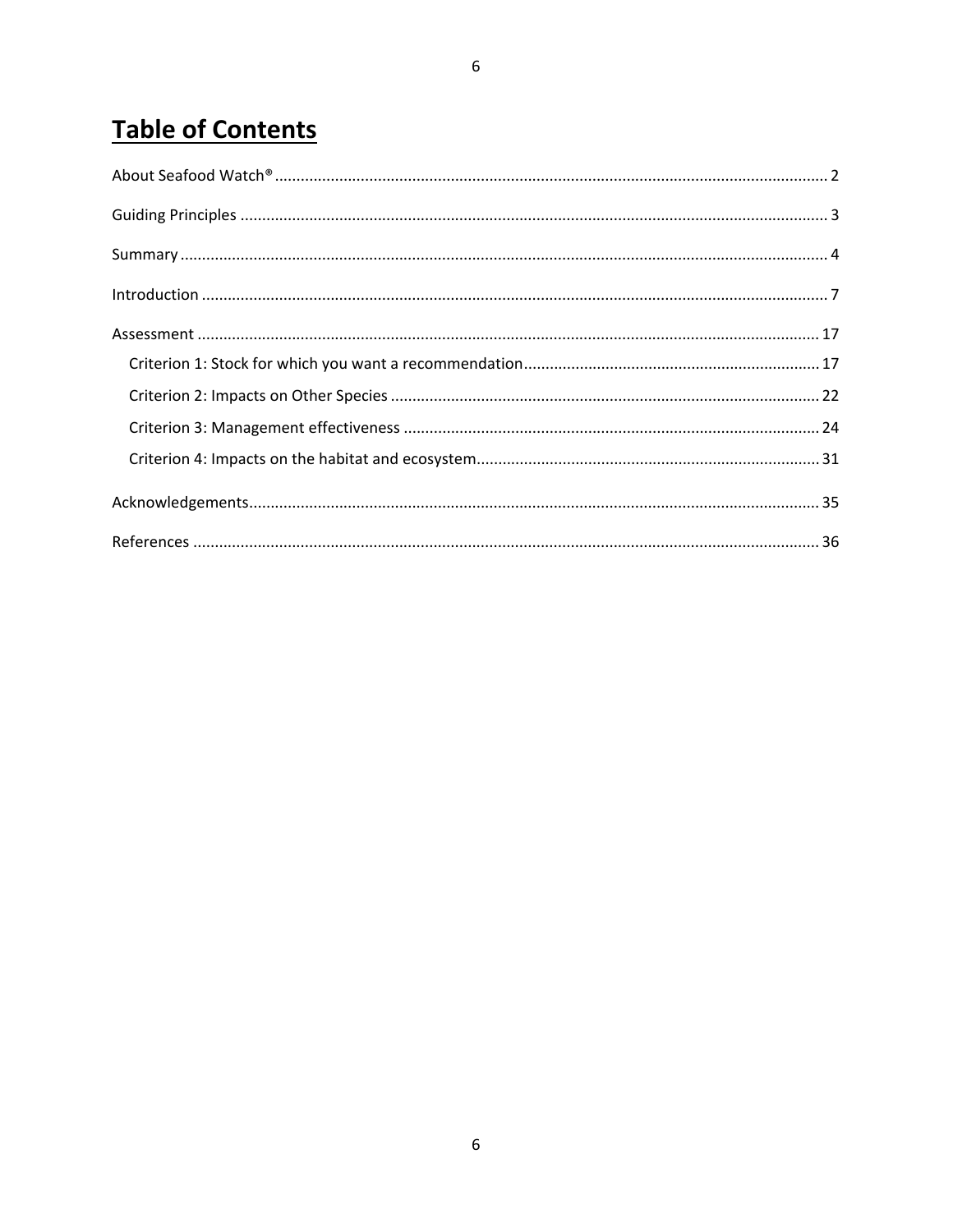# **Table of Contents**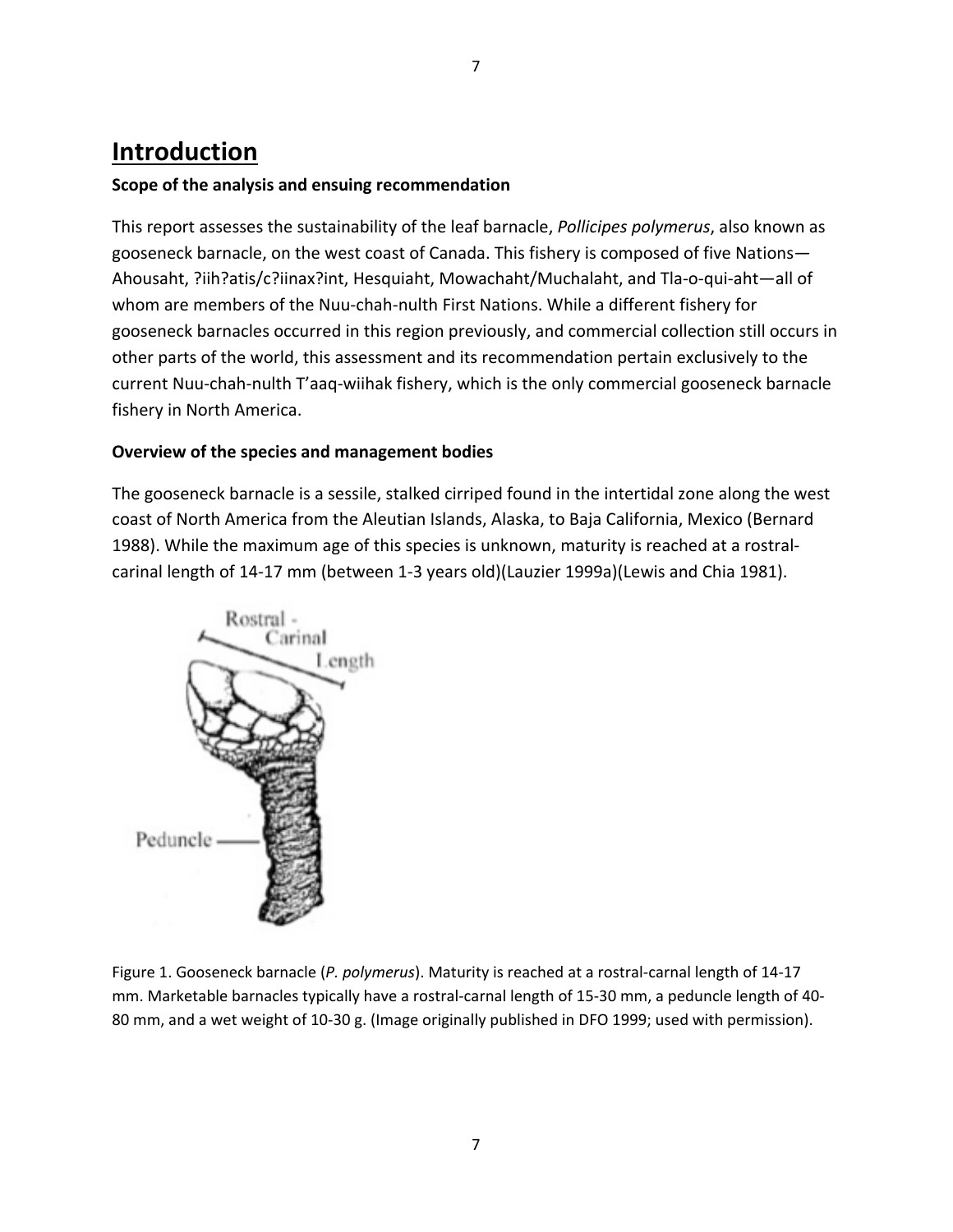# **Introduction**

# **Scope of the analysis and ensuing recommendation**

This report assesses the sustainability of the leaf barnacle, *Pollicipes polymerus*, also known as gooseneck barnacle, on the west coast of Canada. This fishery is composed of five Nations— Ahousaht, ?iih?atis/c?iinax?int, Hesquiaht, Mowachaht/Muchalaht, and Tla-o-qui-aht—all of whom are members of the Nuu-chah-nulth First Nations. While a different fishery for gooseneck barnacles occurred in this region previously, and commercial collection still occurs in other parts of the world, this assessment and its recommendation pertain exclusively to the current Nuu-chah-nulth T'aaq-wiihak fishery, which is the only commercial gooseneck barnacle fishery in North America.

# **Overview of the species and management bodies**

The gooseneck barnacle is a sessile, stalked cirriped found in the intertidal zone along the west coast of North America from the Aleutian Islands, Alaska, to Baja California, Mexico (Bernard 1988). While the maximum age of this species is unknown, maturity is reached at a rostralcarinal length of 14-17 mm (between 1-3 years old)(Lauzier 1999a)(Lewis and Chia 1981).



Figure 1. Gooseneck barnacle (*P. polymerus*). Maturity is reached at a rostral-carnal length of 14-17 mm. Marketable barnacles typically have a rostral-carnal length of 15-30 mm, a peduncle length of 40- 80 mm, and a wet weight of 10-30 g. (Image originally published in DFO 1999; used with permission).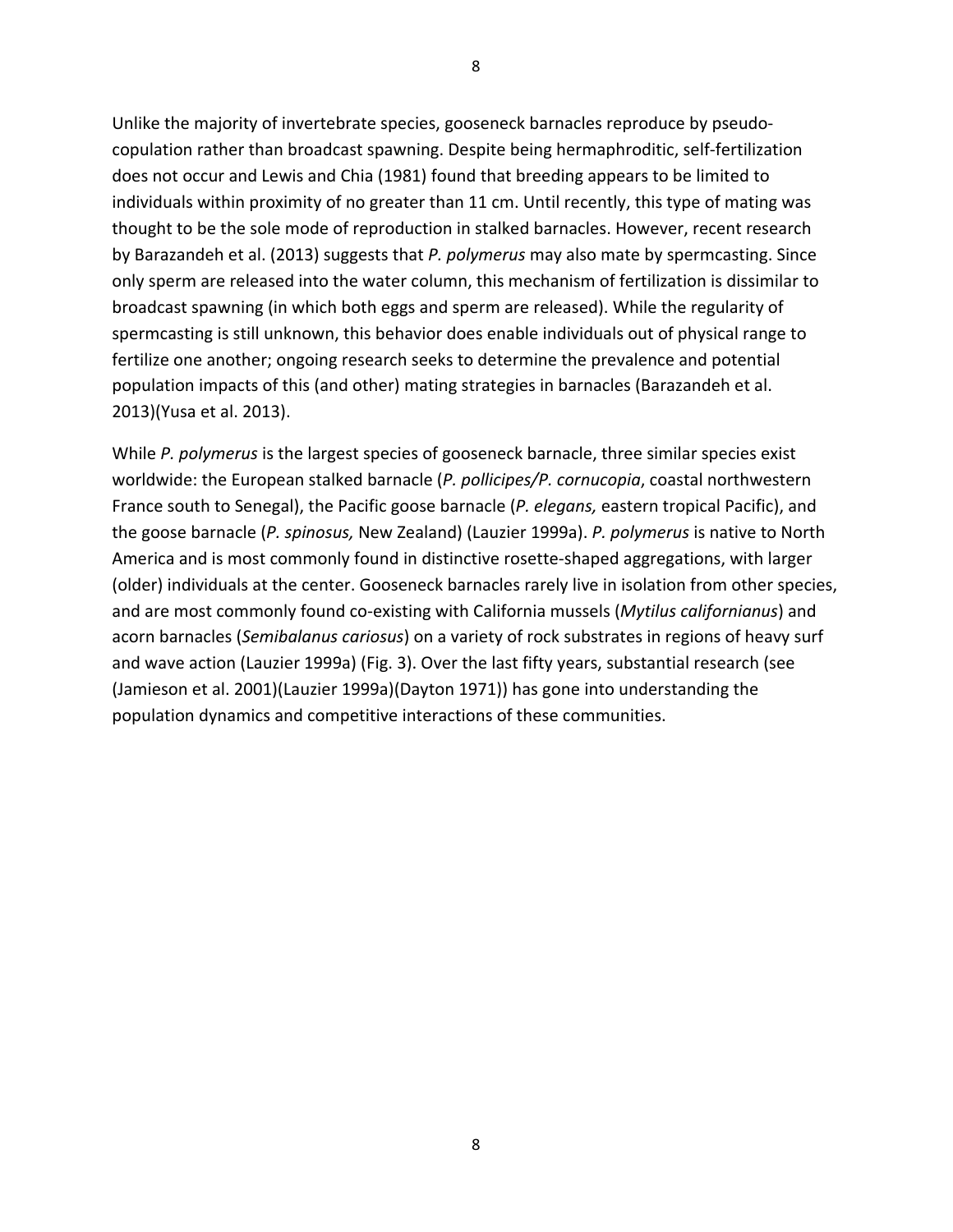Unlike the majority of invertebrate species, gooseneck barnacles reproduce by pseudocopulation rather than broadcast spawning. Despite being hermaphroditic, self-fertilization does not occur and Lewis and Chia (1981) found that breeding appears to be limited to individuals within proximity of no greater than 11 cm. Until recently, this type of mating was thought to be the sole mode of reproduction in stalked barnacles. However, recent research by Barazandeh et al. (2013) suggests that *P. polymerus* may also mate by spermcasting. Since only sperm are released into the water column, this mechanism of fertilization is dissimilar to broadcast spawning (in which both eggs and sperm are released). While the regularity of spermcasting is still unknown, this behavior does enable individuals out of physical range to fertilize one another; ongoing research seeks to determine the prevalence and potential population impacts of this (and other) mating strategies in barnacles (Barazandeh et al. 2013)(Yusa et al. 2013).

While *P. polymerus* is the largest species of gooseneck barnacle, three similar species exist worldwide: the European stalked barnacle (*P. pollicipes/P. cornucopia*, coastal northwestern France south to Senegal), the Pacific goose barnacle (*P. elegans,* eastern tropical Pacific), and the goose barnacle (*P. spinosus,* New Zealand) (Lauzier 1999a). *P. polymerus* is native to North America and is most commonly found in distinctive rosette-shaped aggregations, with larger (older) individuals at the center. Gooseneck barnacles rarely live in isolation from other species, and are most commonly found co-existing with California mussels (*Mytilus californianus*) and acorn barnacles (*Semibalanus cariosus*) on a variety of rock substrates in regions of heavy surf and wave action (Lauzier 1999a) (Fig. 3). Over the last fifty years, substantial research (see (Jamieson et al. 2001)(Lauzier 1999a)(Dayton 1971)) has gone into understanding the population dynamics and competitive interactions of these communities.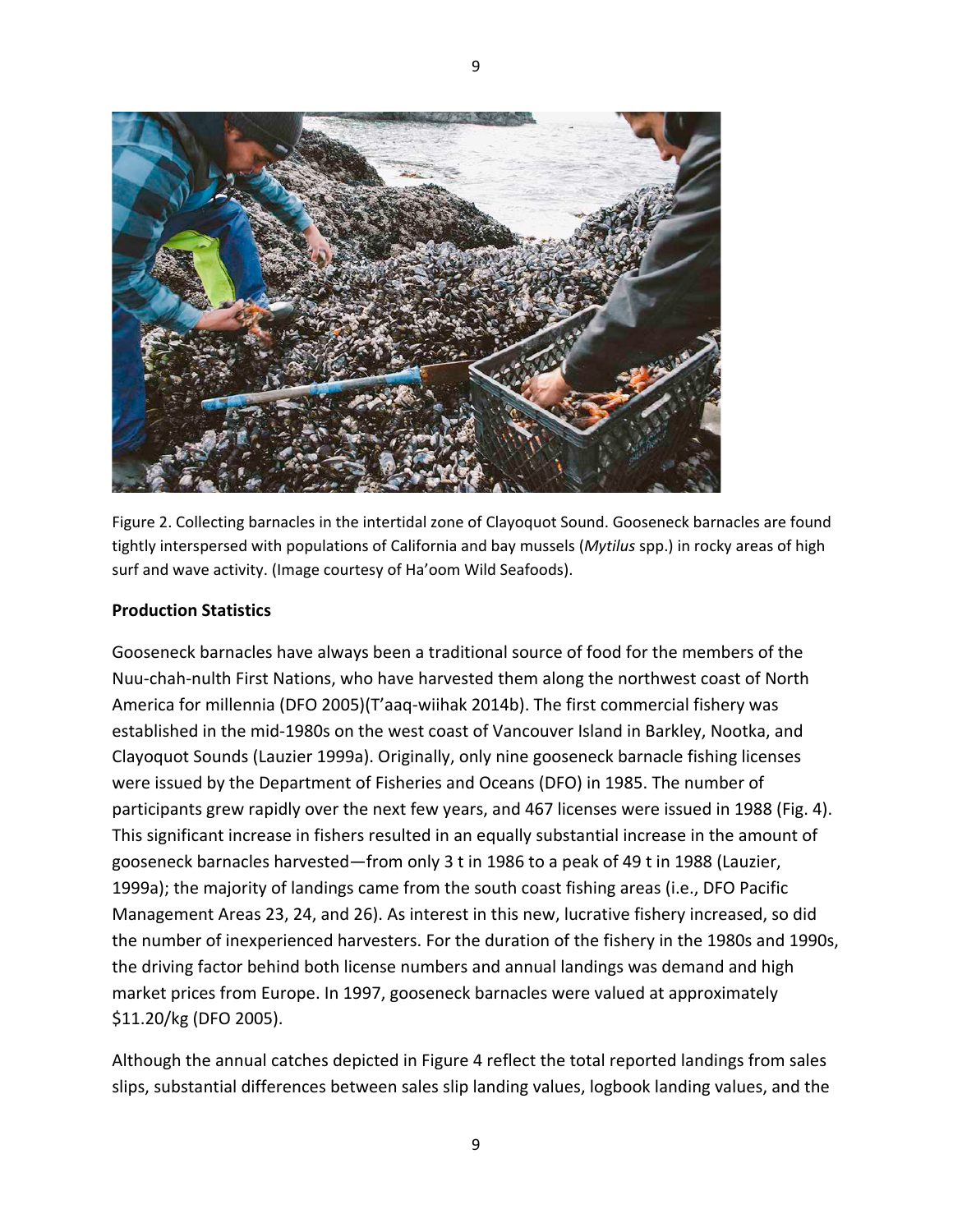

Figure 2. Collecting barnacles in the intertidal zone of Clayoquot Sound. Gooseneck barnacles are found tightly interspersed with populations of California and bay mussels (*Mytilus* spp.) in rocky areas of high surf and wave activity. (Image courtesy of Ha'oom Wild Seafoods).

9

## **Production Statistics**

Gooseneck barnacles have always been a traditional source of food for the members of the Nuu-chah-nulth First Nations, who have harvested them along the northwest coast of North America for millennia (DFO 2005)(T'aaq-wiihak 2014b). The first commercial fishery was established in the mid-1980s on the west coast of Vancouver Island in Barkley, Nootka, and Clayoquot Sounds (Lauzier 1999a). Originally, only nine gooseneck barnacle fishing licenses were issued by the Department of Fisheries and Oceans (DFO) in 1985. The number of participants grew rapidly over the next few years, and 467 licenses were issued in 1988 (Fig. 4). This significant increase in fishers resulted in an equally substantial increase in the amount of gooseneck barnacles harvested—from only 3 t in 1986 to a peak of 49 t in 1988 (Lauzier, 1999a); the majority of landings came from the south coast fishing areas (i.e., DFO Pacific Management Areas 23, 24, and 26). As interest in this new, lucrative fishery increased, so did the number of inexperienced harvesters. For the duration of the fishery in the 1980s and 1990s, the driving factor behind both license numbers and annual landings was demand and high market prices from Europe. In 1997, gooseneck barnacles were valued at approximately \$11.20/kg (DFO 2005).

Although the annual catches depicted in Figure 4 reflect the total reported landings from sales slips, substantial differences between sales slip landing values, logbook landing values, and the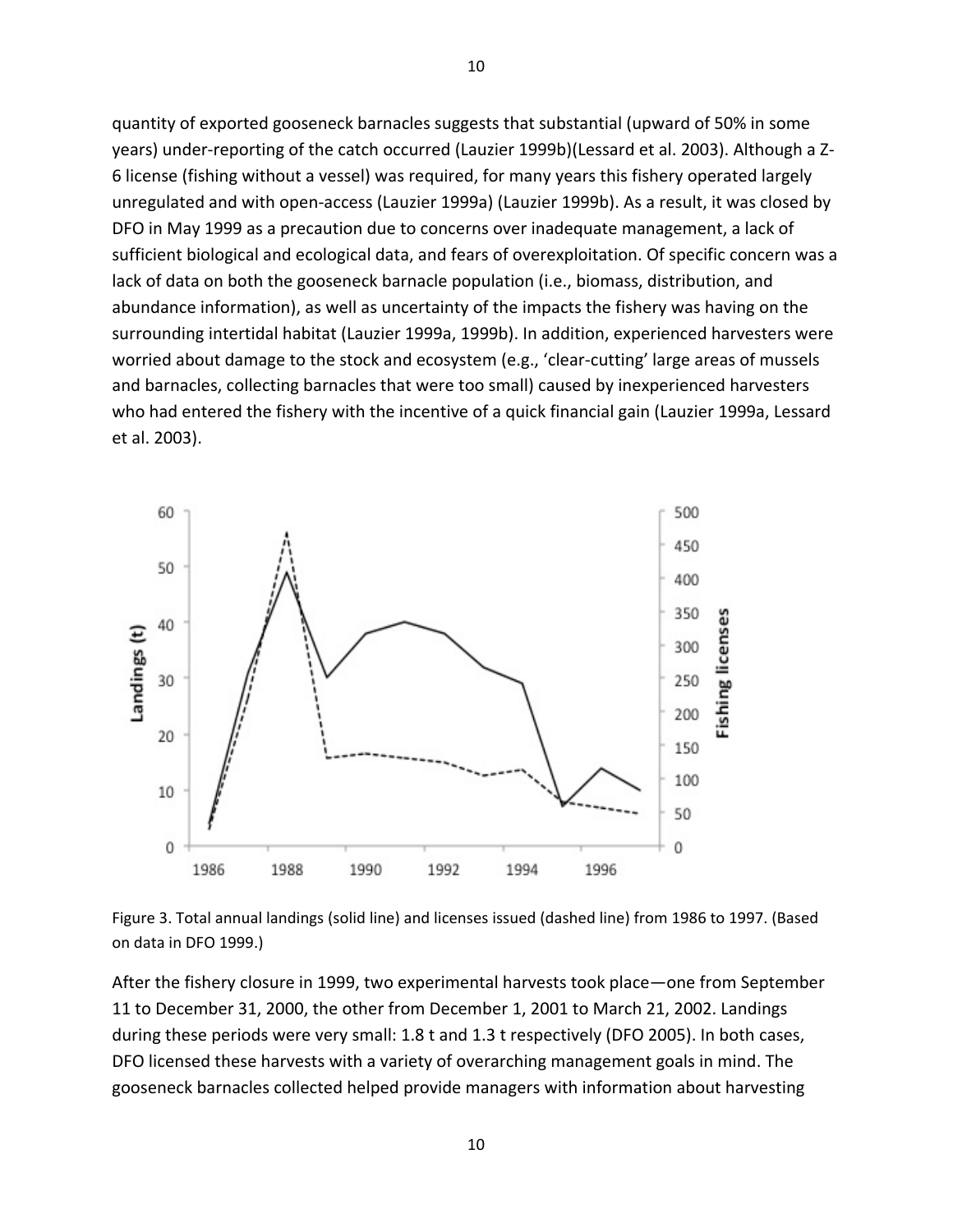quantity of exported gooseneck barnacles suggests that substantial (upward of 50% in some years) under-reporting of the catch occurred (Lauzier 1999b)(Lessard et al. 2003). Although a Z-6 license (fishing without a vessel) was required, for many years this fishery operated largely unregulated and with open-access (Lauzier 1999a) (Lauzier 1999b). As a result, it was closed by DFO in May 1999 as a precaution due to concerns over inadequate management, a lack of sufficient biological and ecological data, and fears of overexploitation. Of specific concern was a lack of data on both the gooseneck barnacle population (i.e., biomass, distribution, and abundance information), as well as uncertainty of the impacts the fishery was having on the surrounding intertidal habitat (Lauzier 1999a, 1999b). In addition, experienced harvesters were worried about damage to the stock and ecosystem (e.g., 'clear-cutting' large areas of mussels and barnacles, collecting barnacles that were too small) caused by inexperienced harvesters who had entered the fishery with the incentive of a quick financial gain (Lauzier 1999a, Lessard et al. 2003).



Figure 3. Total annual landings (solid line) and licenses issued (dashed line) from 1986 to 1997. (Based on data in DFO 1999.)

After the fishery closure in 1999, two experimental harvests took place—one from September 11 to December 31, 2000, the other from December 1, 2001 to March 21, 2002. Landings during these periods were very small: 1.8 t and 1.3 t respectively (DFO 2005). In both cases, DFO licensed these harvests with a variety of overarching management goals in mind. The gooseneck barnacles collected helped provide managers with information about harvesting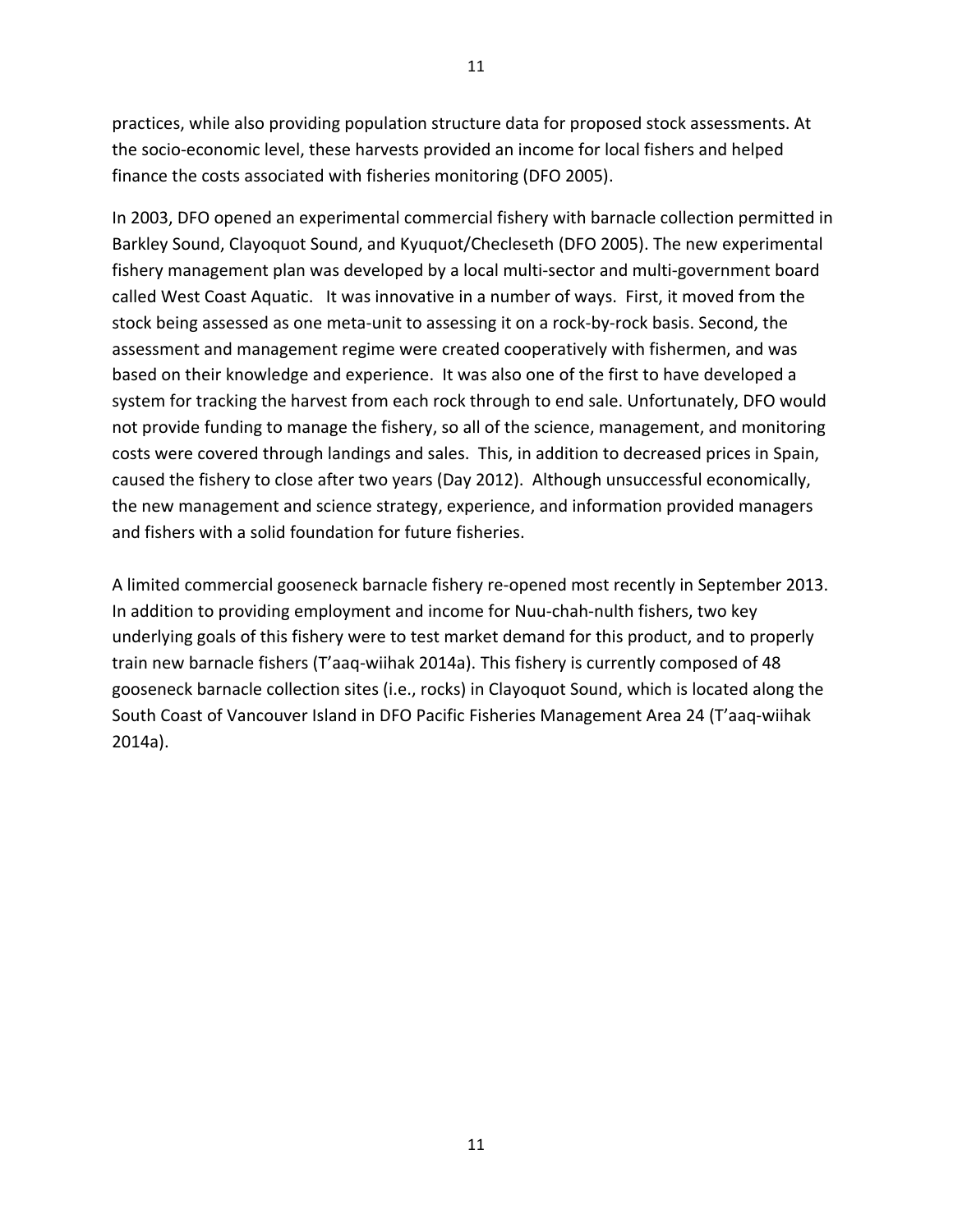practices, while also providing population structure data for proposed stock assessments. At the socio-economic level, these harvests provided an income for local fishers and helped finance the costs associated with fisheries monitoring (DFO 2005).

11

In 2003, DFO opened an experimental commercial fishery with barnacle collection permitted in Barkley Sound, Clayoquot Sound, and Kyuquot/Checleseth (DFO 2005). The new experimental fishery management plan was developed by a local multi-sector and multi-government board called West Coast Aquatic. It was innovative in a number of ways. First, it moved from the stock being assessed as one meta-unit to assessing it on a rock-by-rock basis. Second, the assessment and management regime were created cooperatively with fishermen, and was based on their knowledge and experience. It was also one of the first to have developed a system for tracking the harvest from each rock through to end sale. Unfortunately, DFO would not provide funding to manage the fishery, so all of the science, management, and monitoring costs were covered through landings and sales. This, in addition to decreased prices in Spain, caused the fishery to close after two years (Day 2012). Although unsuccessful economically, the new management and science strategy, experience, and information provided managers and fishers with a solid foundation for future fisheries.

A limited commercial gooseneck barnacle fishery re-opened most recently in September 2013. In addition to providing employment and income for Nuu-chah-nulth fishers, two key underlying goals of this fishery were to test market demand for this product, and to properly train new barnacle fishers (T'aaq-wiihak 2014a). This fishery is currently composed of 48 gooseneck barnacle collection sites (i.e., rocks) in Clayoquot Sound, which is located along the South Coast of Vancouver Island in DFO Pacific Fisheries Management Area 24 (T'aaq-wiihak 2014a).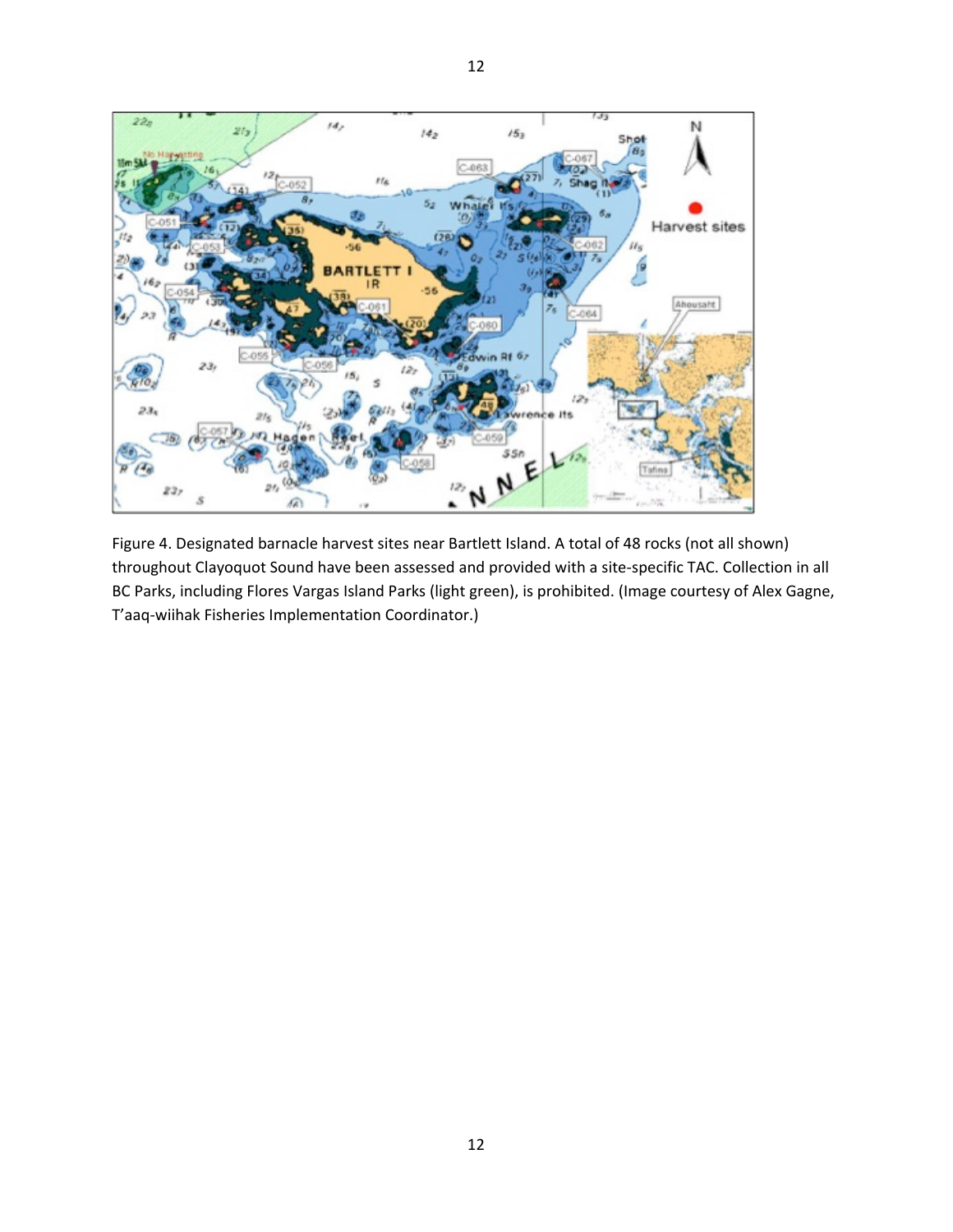

12

Figure 4. Designated barnacle harvest sites near Bartlett Island. A total of 48 rocks (not all shown) throughout Clayoquot Sound have been assessed and provided with a site-specific TAC. Collection in all BC Parks, including Flores Vargas Island Parks (light green), is prohibited. (Image courtesy of Alex Gagne, T'aaq-wiihak Fisheries Implementation Coordinator.)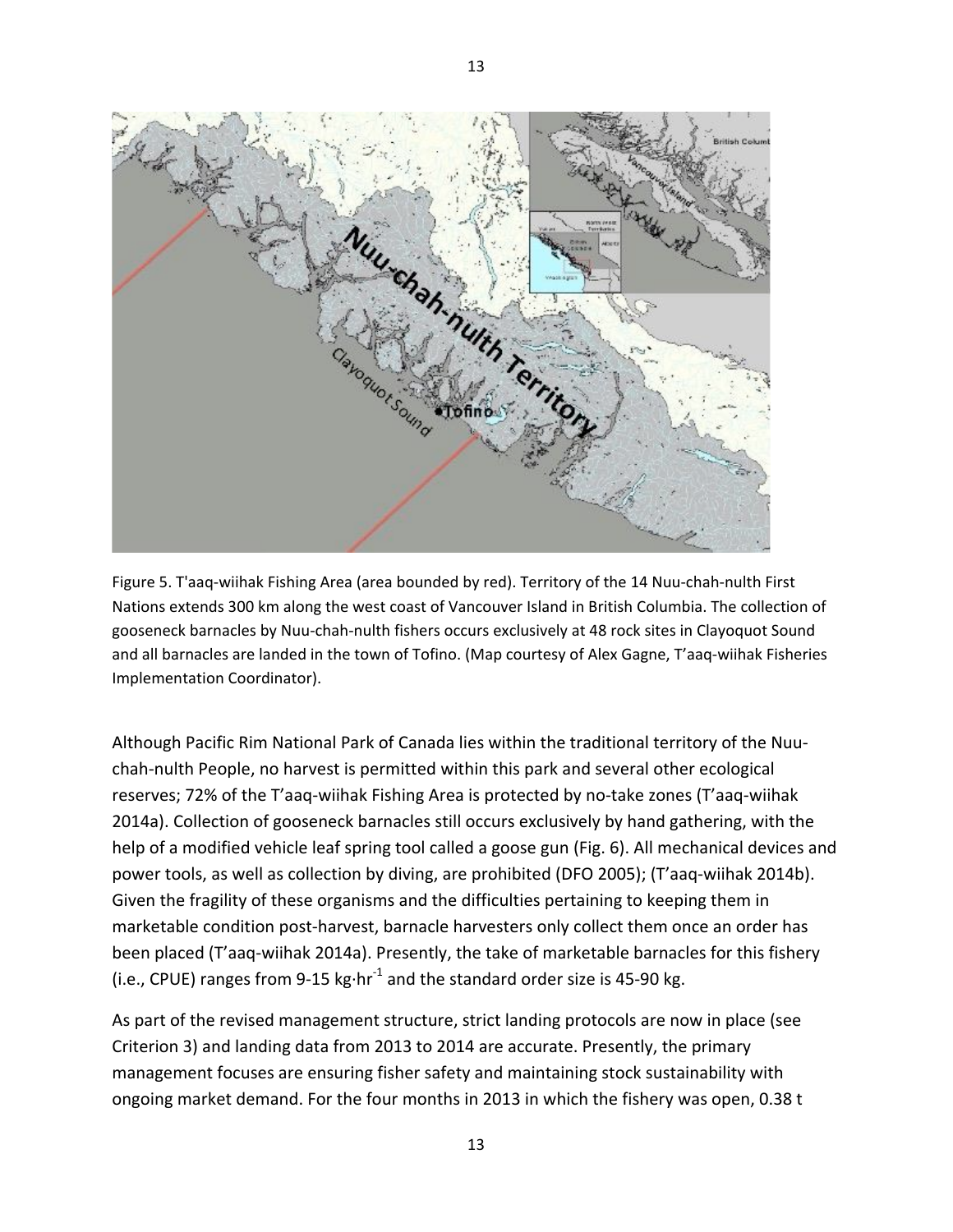

Figure 5. T'aaq-wiihak Fishing Area (area bounded by red). Territory of the 14 Nuu-chah-nulth First Nations extends 300 km along the west coast of Vancouver Island in British Columbia. The collection of gooseneck barnacles by Nuu-chah-nulth fishers occurs exclusively at 48 rock sites in Clayoquot Sound and all barnacles are landed in the town of Tofino. (Map courtesy of Alex Gagne, T'aaq-wiihak Fisheries Implementation Coordinator).

Although Pacific Rim National Park of Canada lies within the traditional territory of the Nuuchah-nulth People, no harvest is permitted within this park and several other ecological reserves; 72% of the T'aaq-wiihak Fishing Area is protected by no-take zones (T'aaq-wiihak 2014a). Collection of gooseneck barnacles still occurs exclusively by hand gathering, with the help of a modified vehicle leaf spring tool called a goose gun (Fig. 6). All mechanical devices and power tools, as well as collection by diving, are prohibited (DFO 2005); (T'aaq-wiihak 2014b). Given the fragility of these organisms and the difficulties pertaining to keeping them in marketable condition post-harvest, barnacle harvesters only collect them once an order has been placed (T'aaq-wiihak 2014a). Presently, the take of marketable barnacles for this fishery (i.e., CPUE) ranges from 9-15 kg $\cdot$ hr<sup>-1</sup> and the standard order size is 45-90 kg.

As part of the revised management structure, strict landing protocols are now in place (see Criterion 3) and landing data from 2013 to 2014 are accurate. Presently, the primary management focuses are ensuring fisher safety and maintaining stock sustainability with ongoing market demand. For the four months in 2013 in which the fishery was open, 0.38 t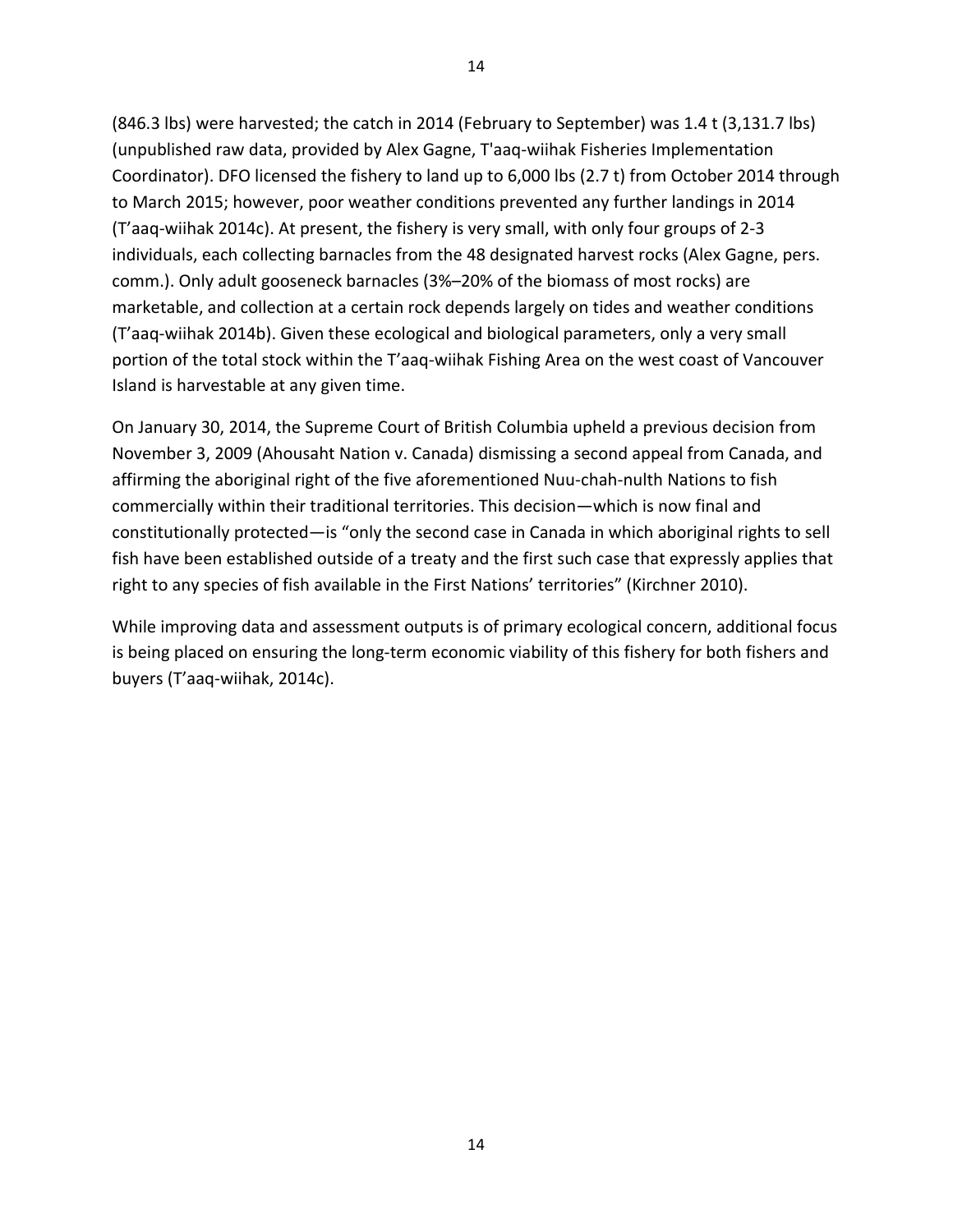(846.3 lbs) were harvested; the catch in 2014 (February to September) was 1.4 t (3,131.7 lbs) (unpublished raw data, provided by Alex Gagne, T'aaq-wiihak Fisheries Implementation Coordinator). DFO licensed the fishery to land up to 6,000 lbs (2.7 t) from October 2014 through to March 2015; however, poor weather conditions prevented any further landings in 2014 (T'aaq-wiihak 2014c). At present, the fishery is very small, with only four groups of 2-3 individuals, each collecting barnacles from the 48 designated harvest rocks (Alex Gagne, pers. comm.). Only adult gooseneck barnacles (3%–20% of the biomass of most rocks) are marketable, and collection at a certain rock depends largely on tides and weather conditions (T'aaq-wiihak 2014b). Given these ecological and biological parameters, only a very small portion of the total stock within the T'aaq-wiihak Fishing Area on the west coast of Vancouver Island is harvestable at any given time.

On January 30, 2014, the Supreme Court of British Columbia upheld a previous decision from November 3, 2009 (Ahousaht Nation v. Canada) dismissing a second appeal from Canada, and affirming the aboriginal right of the five aforementioned Nuu-chah-nulth Nations to fish commercially within their traditional territories. This decision—which is now final and constitutionally protected—is "only the second case in Canada in which aboriginal rights to sell fish have been established outside of a treaty and the first such case that expressly applies that right to any species of fish available in the First Nations' territories" (Kirchner 2010).

While improving data and assessment outputs is of primary ecological concern, additional focus is being placed on ensuring the long-term economic viability of this fishery for both fishers and buyers (T'aaq-wiihak, 2014c).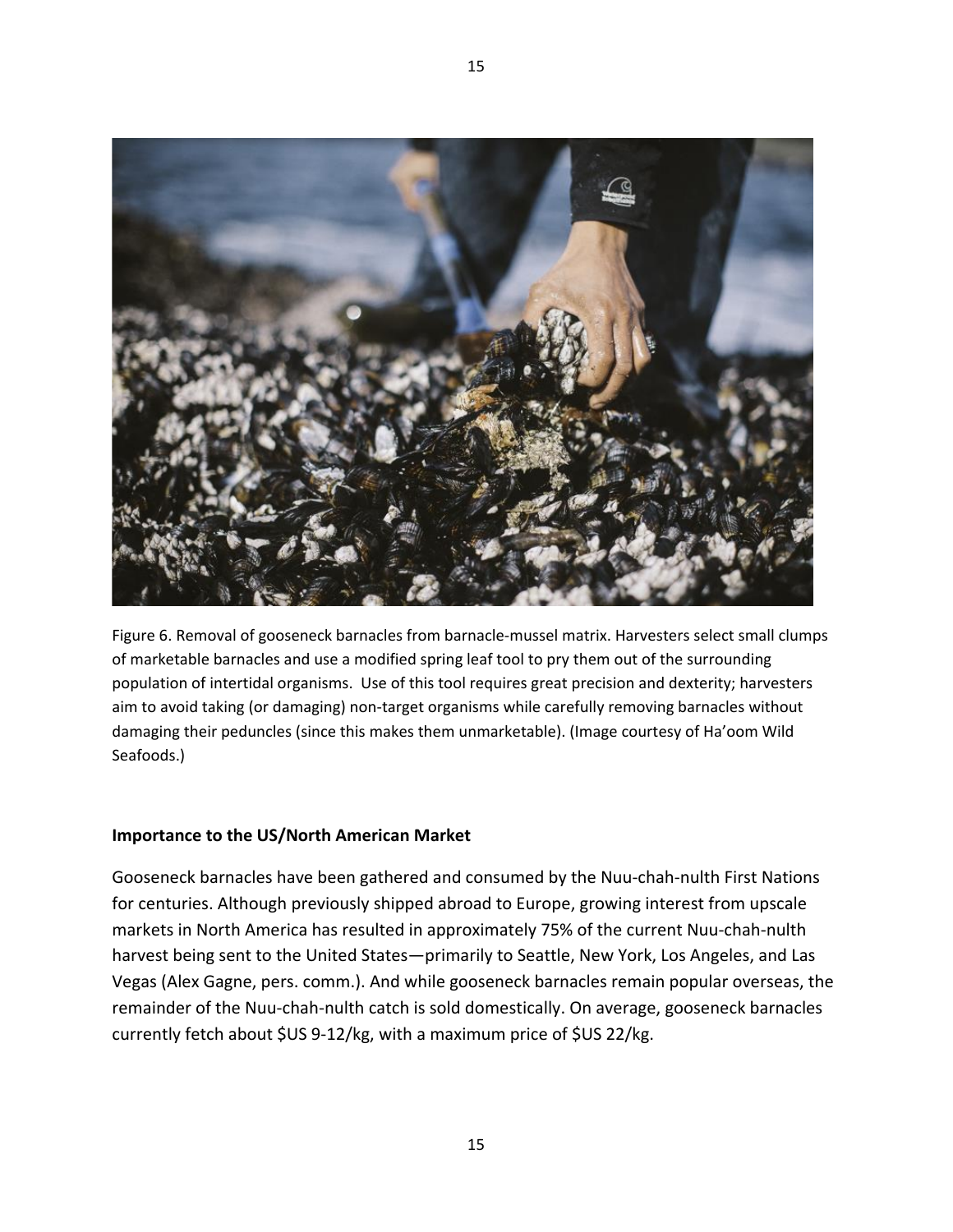

15

Figure 6. Removal of gooseneck barnacles from barnacle-mussel matrix. Harvesters select small clumps of marketable barnacles and use a modified spring leaf tool to pry them out of the surrounding population of intertidal organisms. Use of this tool requires great precision and dexterity; harvesters aim to avoid taking (or damaging) non-target organisms while carefully removing barnacles without damaging their peduncles (since this makes them unmarketable). (Image courtesy of Ha'oom Wild Seafoods.)

## **Importance to the US/North American Market**

Gooseneck barnacles have been gathered and consumed by the Nuu-chah-nulth First Nations for centuries. Although previously shipped abroad to Europe, growing interest from upscale markets in North America has resulted in approximately 75% of the current Nuu-chah-nulth harvest being sent to the United States—primarily to Seattle, New York, Los Angeles, and Las Vegas (Alex Gagne, pers. comm.). And while gooseneck barnacles remain popular overseas, the remainder of the Nuu-chah-nulth catch is sold domestically. On average, gooseneck barnacles currently fetch about \$US 9-12/kg, with a maximum price of \$US 22/kg.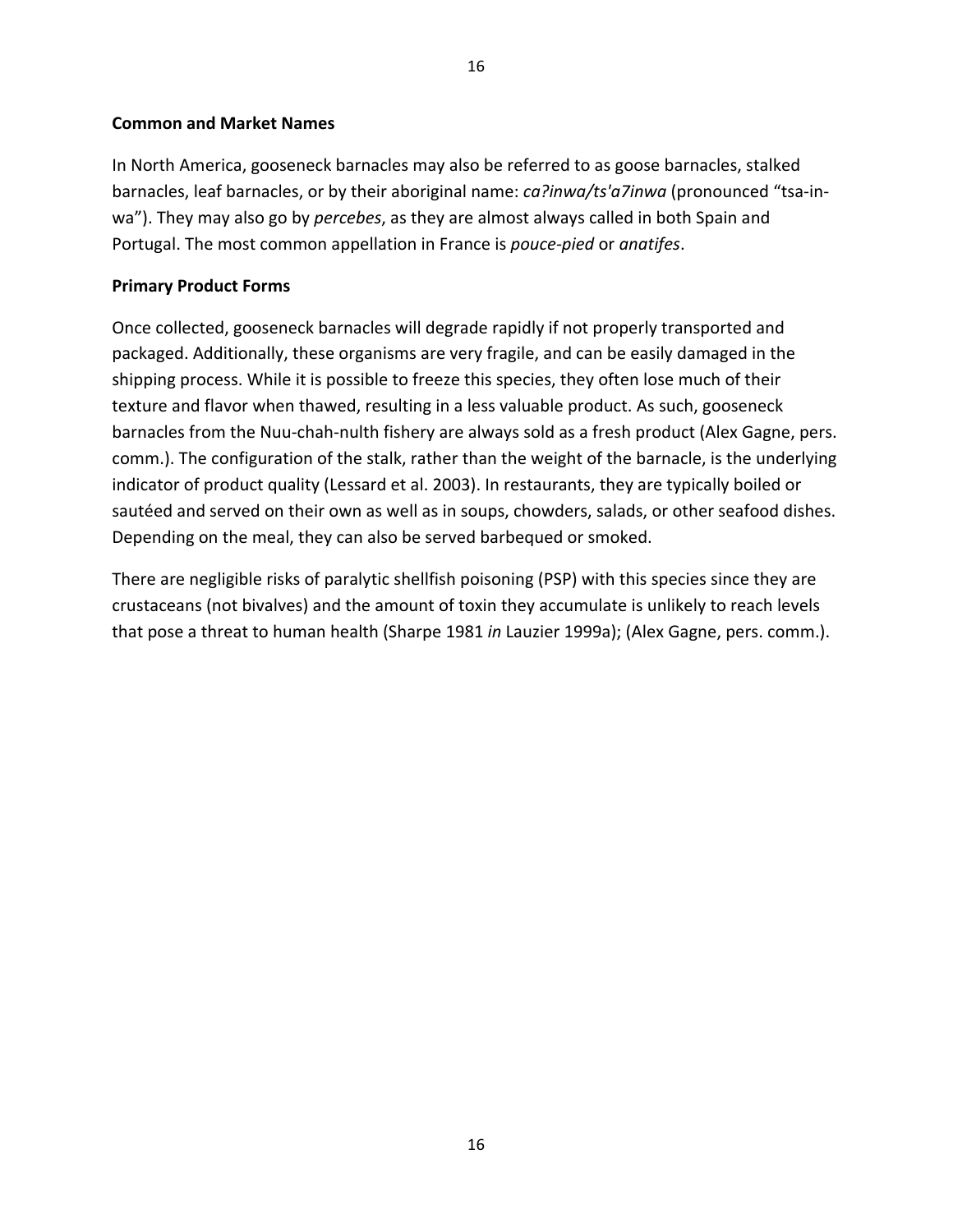### **Common and Market Names**

In North America, gooseneck barnacles may also be referred to as goose barnacles, stalked barnacles, leaf barnacles, or by their aboriginal name: *ca?inwa/ts'a7inwa* (pronounced "tsa-inwa"). They may also go by *percebes*, as they are almost always called in both Spain and Portugal. The most common appellation in France is *pouce-pied* or *anatifes*.

### **Primary Product Forms**

Once collected, gooseneck barnacles will degrade rapidly if not properly transported and packaged. Additionally, these organisms are very fragile, and can be easily damaged in the shipping process. While it is possible to freeze this species, they often lose much of their texture and flavor when thawed, resulting in a less valuable product. As such, gooseneck barnacles from the Nuu-chah-nulth fishery are always sold as a fresh product (Alex Gagne, pers. comm.). The configuration of the stalk, rather than the weight of the barnacle, is the underlying indicator of product quality (Lessard et al. 2003). In restaurants, they are typically boiled or sautéed and served on their own as well as in soups, chowders, salads, or other seafood dishes. Depending on the meal, they can also be served barbequed or smoked.

There are negligible risks of paralytic shellfish poisoning (PSP) with this species since they are crustaceans (not bivalves) and the amount of toxin they accumulate is unlikely to reach levels that pose a threat to human health (Sharpe 1981 *in* Lauzier 1999a); (Alex Gagne, pers. comm.).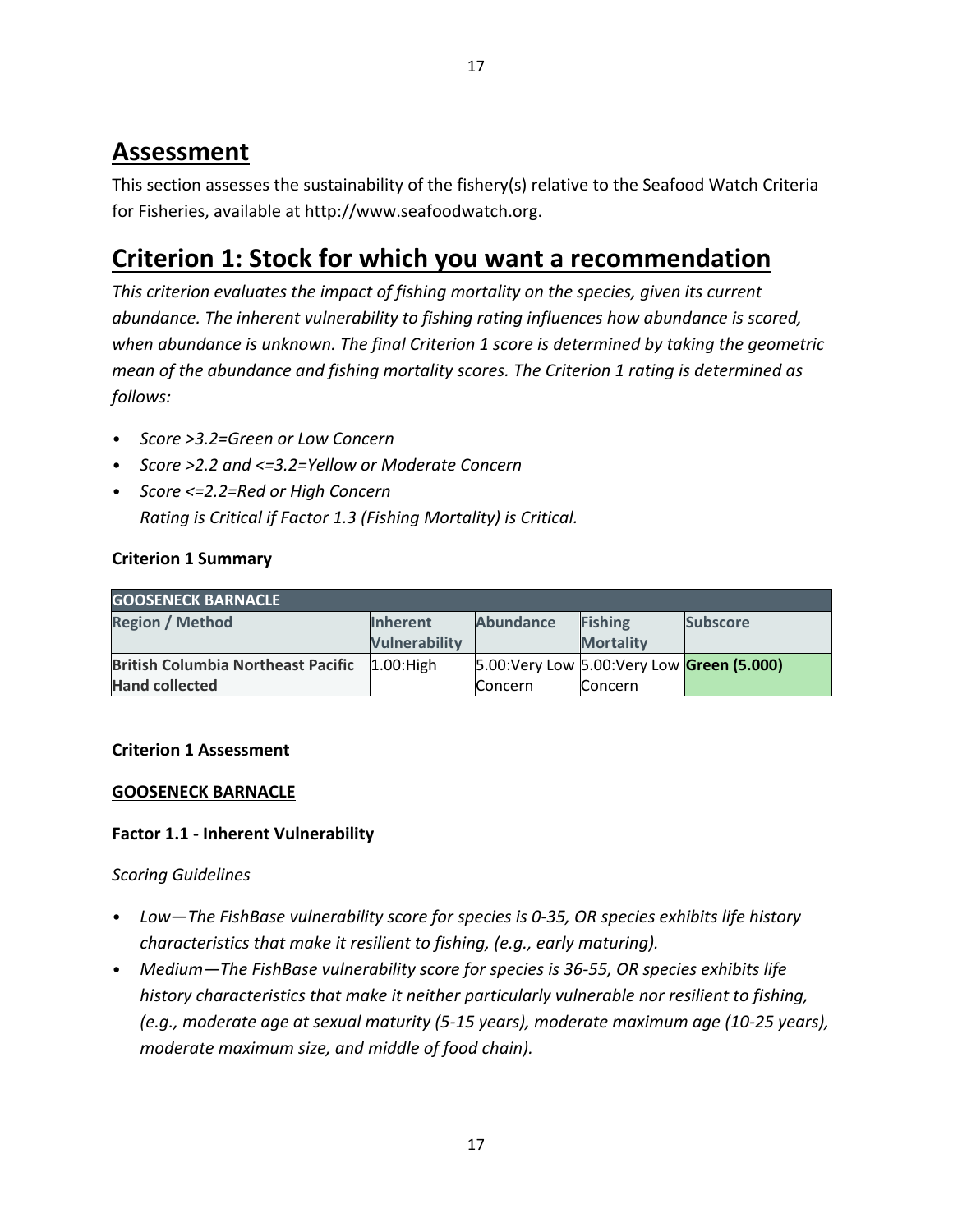# **Assessment**

This section assesses the sustainability of the fishery(s) relative to the Seafood Watch Criteria for Fisheries, available at http://www.seafoodwatch.org.

# **Criterion 1: Stock for which you want a recommendation**

*This criterion evaluates the impact of fishing mortality on the species, given its current abundance. The inherent vulnerability to fishing rating influences how abundance is scored, when abundance is unknown. The final Criterion 1 score is determined by taking the geometric mean of the abundance and fishing mortality scores. The Criterion 1 rating is determined as follows:* 

- *Score >3.2=Green or Low Concern*
- *Score >2.2 and <=3.2=Yellow or Moderate Concern*
- *Score <=2.2=Red or High Concern Rating is Critical if Factor 1.3 (Fishing Mortality) is Critical.*

# **Criterion 1 Summary**

| <b>GOOSENECK BARNACLE</b>                 |                 |                                             |                  |                 |  |  |  |  |
|-------------------------------------------|-----------------|---------------------------------------------|------------------|-----------------|--|--|--|--|
| <b>Region / Method</b>                    | <b>Inherent</b> | <b>Abundance</b>                            | <b>Fishing</b>   | <b>Subscore</b> |  |  |  |  |
|                                           | Vulnerability   |                                             | <b>Mortality</b> |                 |  |  |  |  |
| <b>British Columbia Northeast Pacific</b> | $1.00:$ High    | 5.00: Very Low 5.00: Very Low Green (5.000) |                  |                 |  |  |  |  |
| <b>Hand collected</b>                     |                 | <b>Concern</b>                              | <b>Concern</b>   |                 |  |  |  |  |

# **Criterion 1 Assessment**

# **GOOSENECK BARNACLE**

# **Factor 1.1 - Inherent Vulnerability**

# *Scoring Guidelines*

- *Low—The FishBase vulnerability score for species is 0-35, OR species exhibits life history characteristics that make it resilient to fishing, (e.g., early maturing).*
- *Medium—The FishBase vulnerability score for species is 36-55, OR species exhibits life history characteristics that make it neither particularly vulnerable nor resilient to fishing, (e.g., moderate age at sexual maturity (5-15 years), moderate maximum age (10-25 years), moderate maximum size, and middle of food chain).*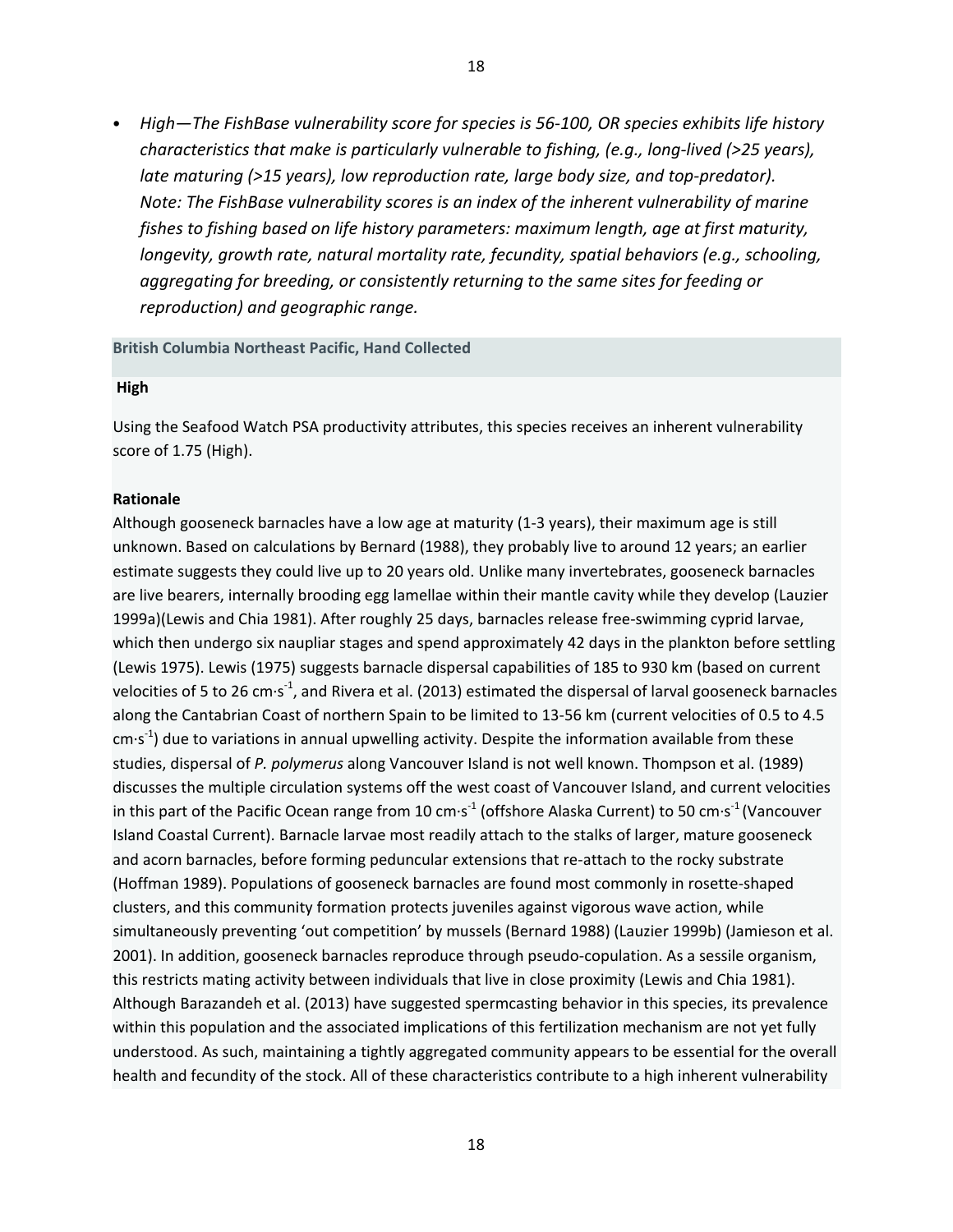• *High—The FishBase vulnerability score for species is 56-100, OR species exhibits life history characteristics that make is particularly vulnerable to fishing, (e.g., long-lived (>25 years), late maturing (>15 years), low reproduction rate, large body size, and top-predator). Note: The FishBase vulnerability scores is an index of the inherent vulnerability of marine fishes to fishing based on life history parameters: maximum length, age at first maturity, longevity, growth rate, natural mortality rate, fecundity, spatial behaviors (e.g., schooling, aggregating for breeding, or consistently returning to the same sites for feeding or reproduction) and geographic range.* 

#### **British Columbia Northeast Pacific, Hand Collected**

#### **High**

Using the Seafood Watch PSA productivity attributes, this species receives an inherent vulnerability score of 1.75 (High).

#### **Rationale**

Although gooseneck barnacles have a low age at maturity (1-3 years), their maximum age is still unknown. Based on calculations by Bernard (1988), they probably live to around 12 years; an earlier estimate suggests they could live up to 20 years old. Unlike many invertebrates, gooseneck barnacles are live bearers, internally brooding egg lamellae within their mantle cavity while they develop (Lauzier 1999a)(Lewis and Chia 1981). After roughly 25 days, barnacles release free-swimming cyprid larvae, which then undergo six naupliar stages and spend approximately 42 days in the plankton before settling (Lewis 1975). Lewis (1975) suggests barnacle dispersal capabilities of 185 to 930 km (based on current velocities of 5 to 26 cm $\cdot$ s<sup>-1</sup>, and Rivera et al. (2013) estimated the dispersal of larval gooseneck barnacles along the Cantabrian Coast of northern Spain to be limited to 13-56 km (current velocities of 0.5 to 4.5 cm $\cdot$ s<sup>-1</sup>) due to variations in annual upwelling activity. Despite the information available from these studies, dispersal of *P. polymerus* along Vancouver Island is not well known. Thompson et al. (1989) discusses the multiple circulation systems off the west coast of Vancouver Island, and current velocities in this part of the Pacific Ocean range from 10 cm $\cdot$ s<sup>-1</sup> (offshore Alaska Current) to 50 cm $\cdot$ s<sup>-1</sup> (Vancouver Island Coastal Current). Barnacle larvae most readily attach to the stalks of larger, mature gooseneck and acorn barnacles, before forming peduncular extensions that re-attach to the rocky substrate (Hoffman 1989). Populations of gooseneck barnacles are found most commonly in rosette-shaped clusters, and this community formation protects juveniles against vigorous wave action, while simultaneously preventing 'out competition' by mussels (Bernard 1988) (Lauzier 1999b) (Jamieson et al. 2001). In addition, gooseneck barnacles reproduce through pseudo-copulation. As a sessile organism, this restricts mating activity between individuals that live in close proximity (Lewis and Chia 1981). Although Barazandeh et al. (2013) have suggested spermcasting behavior in this species, its prevalence within this population and the associated implications of this fertilization mechanism are not yet fully understood. As such, maintaining a tightly aggregated community appears to be essential for the overall health and fecundity of the stock. All of these characteristics contribute to a high inherent vulnerability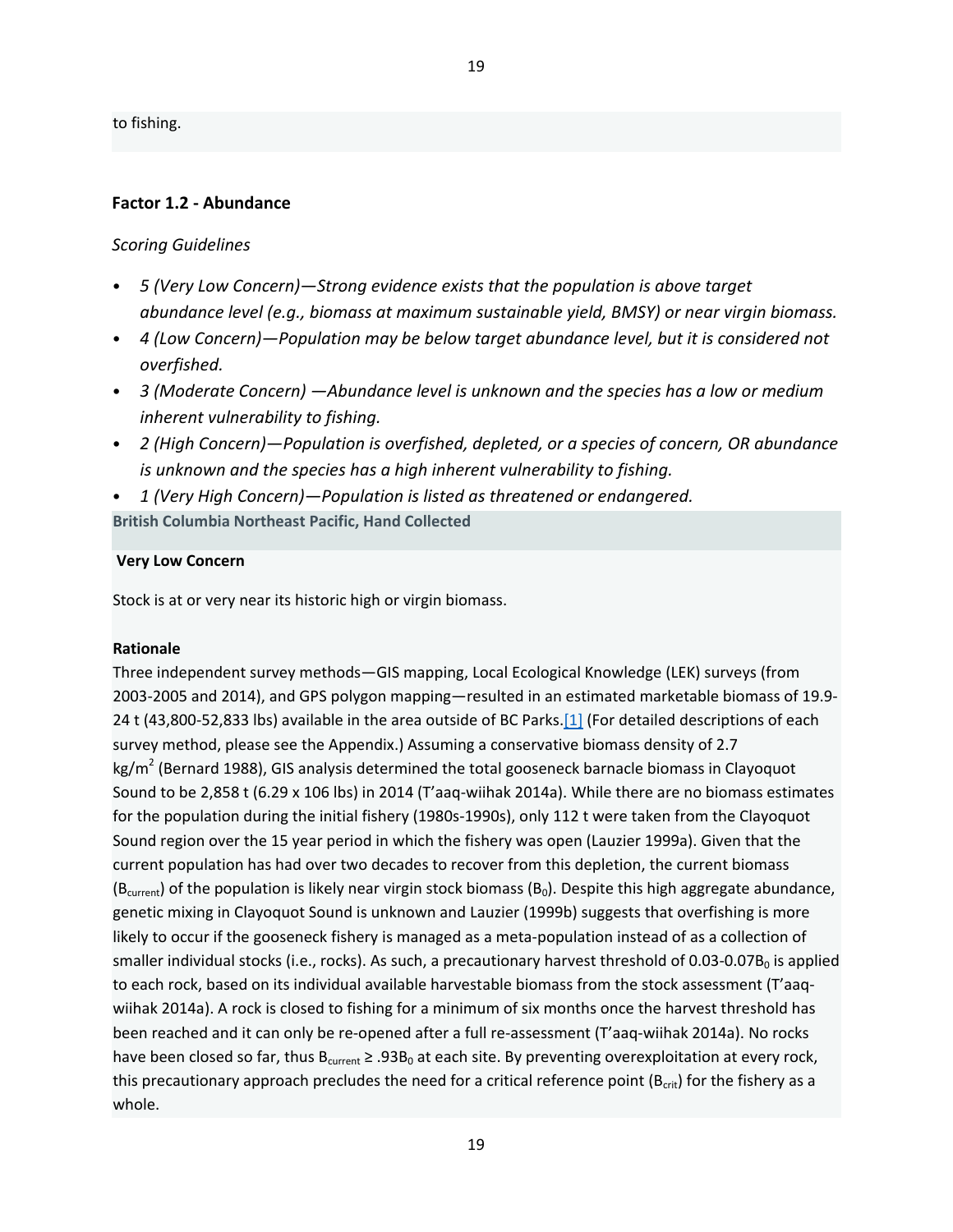to fishing.

#### **Factor 1.2 - Abundance**

#### *Scoring Guidelines*

- *5 (Very Low Concern)—Strong evidence exists that the population is above target abundance level (e.g., biomass at maximum sustainable yield, BMSY) or near virgin biomass.*
- *4 (Low Concern)—Population may be below target abundance level, but it is considered not overfished.*
- *3 (Moderate Concern) —Abundance level is unknown and the species has a low or medium inherent vulnerability to fishing.*
- *2 (High Concern)—Population is overfished, depleted, or a species of concern, OR abundance is unknown and the species has a high inherent vulnerability to fishing.*
- *1 (Very High Concern)—Population is listed as threatened or endangered.*

**British Columbia Northeast Pacific, Hand Collected**

#### **Very Low Concern**

Stock is at or very near its historic high or virgin biomass.

#### **Rationale**

Three independent survey methods—GIS mapping, Local Ecological Knowledge (LEK) surveys (from 2003-2005 and 2014), and GPS polygon mapping—resulted in an estimated marketable biomass of 19.9- 24 t (43,800-52,833 lbs) available in the area outside of BC Parks.[1] (For detailed descriptions of each survey method, please see the Appendix.) Assuming a conservative biomass density of 2.7  $kg/m<sup>2</sup>$  (Bernard 1988), GIS analysis determined the total gooseneck barnacle biomass in Clayoquot Sound to be 2,858 t (6.29 x 106 lbs) in 2014 (T'aaq-wiihak 2014a). While there are no biomass estimates for the population during the initial fishery (1980s-1990s), only 112 t were taken from the Clayoquot Sound region over the 15 year period in which the fishery was open (Lauzier 1999a). Given that the current population has had over two decades to recover from this depletion, the current biomass ( $B<sub>current</sub>$ ) of the population is likely near virgin stock biomass ( $B<sub>0</sub>$ ). Despite this high aggregate abundance, genetic mixing in Clayoquot Sound is unknown and Lauzier (1999b) suggests that overfishing is more likely to occur if the gooseneck fishery is managed as a meta-population instead of as a collection of smaller individual stocks (i.e., rocks). As such, a precautionary harvest threshold of  $0.03$ -0.07B<sub>0</sub> is applied to each rock, based on its individual available harvestable biomass from the stock assessment (T'aaqwiihak 2014a). A rock is closed to fishing for a minimum of six months once the harvest threshold has been reached and it can only be re-opened after a full re-assessment (T'aaq-wiihak 2014a). No rocks have been closed so far, thus  $B_{current} \ge 0.93B_0$  at each site. By preventing overexploitation at every rock, this precautionary approach precludes the need for a critical reference point ( $B_{crit}$ ) for the fishery as a whole.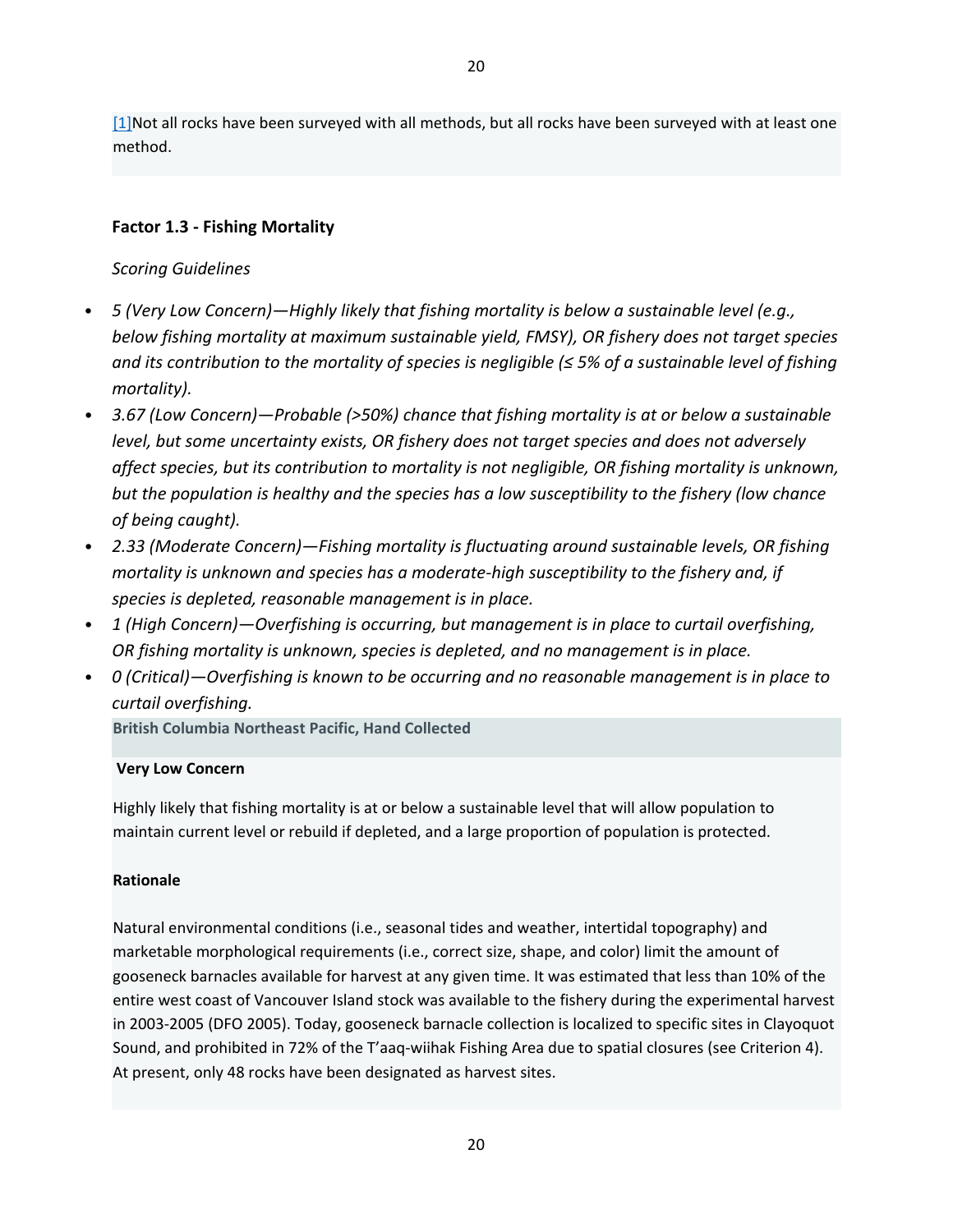[1]Not all rocks have been surveyed with all methods, but all rocks have been surveyed with at least one method.

## **Factor 1.3 - Fishing Mortality**

## *Scoring Guidelines*

- *5 (Very Low Concern)—Highly likely that fishing mortality is below a sustainable level (e.g., below fishing mortality at maximum sustainable yield, FMSY), OR fishery does not target species and its contribution to the mortality of species is negligible (≤ 5% of a sustainable level of fishing mortality).*
- *3.67 (Low Concern)—Probable (>50%) chance that fishing mortality is at or below a sustainable level, but some uncertainty exists, OR fishery does not target species and does not adversely affect species, but its contribution to mortality is not negligible, OR fishing mortality is unknown, but the population is healthy and the species has a low susceptibility to the fishery (low chance of being caught).*
- *2.33 (Moderate Concern)—Fishing mortality is fluctuating around sustainable levels, OR fishing mortality is unknown and species has a moderate-high susceptibility to the fishery and, if species is depleted, reasonable management is in place.*
- *1 (High Concern)—Overfishing is occurring, but management is in place to curtail overfishing, OR fishing mortality is unknown, species is depleted, and no management is in place.*
- *0 (Critical)—Overfishing is known to be occurring and no reasonable management is in place to curtail overfishing.*

**British Columbia Northeast Pacific, Hand Collected**

## **Very Low Concern**

Highly likely that fishing mortality is at or below a sustainable level that will allow population to maintain current level or rebuild if depleted, and a large proportion of population is protected.

#### **Rationale**

Natural environmental conditions (i.e., seasonal tides and weather, intertidal topography) and marketable morphological requirements (i.e., correct size, shape, and color) limit the amount of gooseneck barnacles available for harvest at any given time. It was estimated that less than 10% of the entire west coast of Vancouver Island stock was available to the fishery during the experimental harvest in 2003-2005 (DFO 2005). Today, gooseneck barnacle collection is localized to specific sites in Clayoquot Sound, and prohibited in 72% of the T'aaq-wiihak Fishing Area due to spatial closures (see Criterion 4). At present, only 48 rocks have been designated as harvest sites.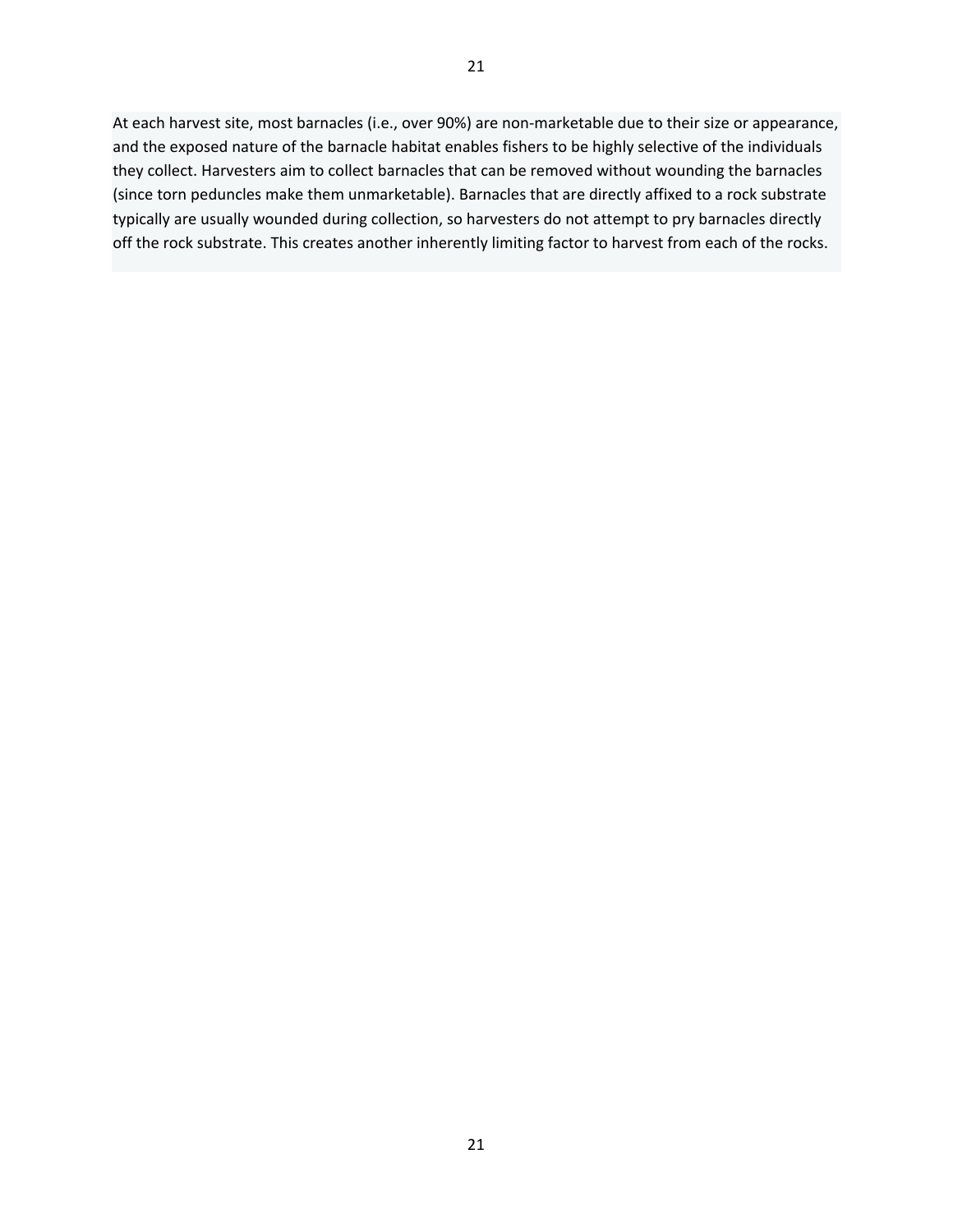At each harvest site, most barnacles (i.e., over 90%) are non-marketable due to their size or appearance, and the exposed nature of the barnacle habitat enables fishers to be highly selective of the individuals they collect. Harvesters aim to collect barnacles that can be removed without wounding the barnacles (since torn peduncles make them unmarketable). Barnacles that are directly affixed to a rock substrate typically are usually wounded during collection, so harvesters do not attempt to pry barnacles directly off the rock substrate. This creates another inherently limiting factor to harvest from each of the rocks.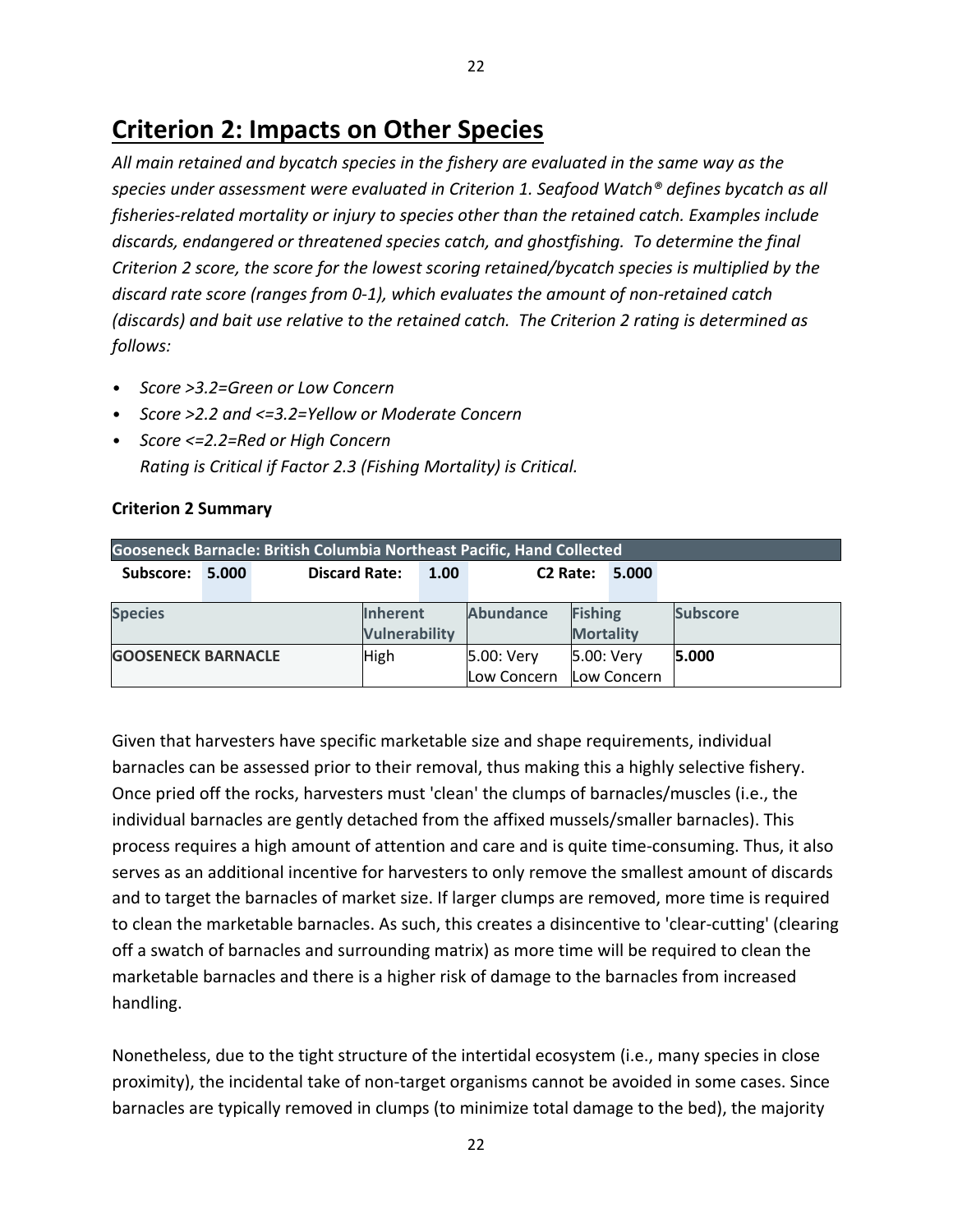*All main retained and bycatch species in the fishery are evaluated in the same way as the species under assessment were evaluated in Criterion 1. Seafood Watch® defines bycatch as all fisheries-related mortality or injury to species other than the retained catch. Examples include discards, endangered or threatened species catch, and ghostfishing. To determine the final Criterion 2 score, the score for the lowest scoring retained/bycatch species is multiplied by the discard rate score (ranges from 0-1), which evaluates the amount of non-retained catch (discards) and bait use relative to the retained catch. The Criterion 2 rating is determined as follows:*

- *Score >3.2=Green or Low Concern*
- *Score >2.2 and <=3.2=Yellow or Moderate Concern*
- *Score <=2.2=Red or High Concern Rating is Critical if Factor 2.3 (Fishing Mortality) is Critical.*

# **Criterion 2 Summary**

| <b>Gooseneck Barnacle: British Columbia Northeast Pacific, Hand Collected</b> |       |                      |                                         |            |                      |                                    |       |                 |
|-------------------------------------------------------------------------------|-------|----------------------|-----------------------------------------|------------|----------------------|------------------------------------|-------|-----------------|
| Subscore:                                                                     | 5.000 | <b>Discard Rate:</b> |                                         | 1.00       | C <sub>2</sub> Rate: |                                    | 5.000 |                 |
| <b>Species</b>                                                                |       |                      | <b>Inherent</b><br><b>Vulnerability</b> |            | <b>Abundance</b>     | <b>Fishing</b><br><b>Mortality</b> |       | <b>Subscore</b> |
| <b>GOOSENECK BARNACLE</b><br><b>High</b>                                      |       |                      | 5.00: Very<br>Low Concern               | 5.00: Very | Low Concern          | 5.000                              |       |                 |

Given that harvesters have specific marketable size and shape requirements, individual barnacles can be assessed prior to their removal, thus making this a highly selective fishery. Once pried off the rocks, harvesters must 'clean' the clumps of barnacles/muscles (i.e., the individual barnacles are gently detached from the affixed mussels/smaller barnacles). This process requires a high amount of attention and care and is quite time-consuming. Thus, it also serves as an additional incentive for harvesters to only remove the smallest amount of discards and to target the barnacles of market size. If larger clumps are removed, more time is required to clean the marketable barnacles. As such, this creates a disincentive to 'clear-cutting' (clearing off a swatch of barnacles and surrounding matrix) as more time will be required to clean the marketable barnacles and there is a higher risk of damage to the barnacles from increased handling.

Nonetheless, due to the tight structure of the intertidal ecosystem (i.e., many species in close proximity), the incidental take of non-target organisms cannot be avoided in some cases. Since barnacles are typically removed in clumps (to minimize total damage to the bed), the majority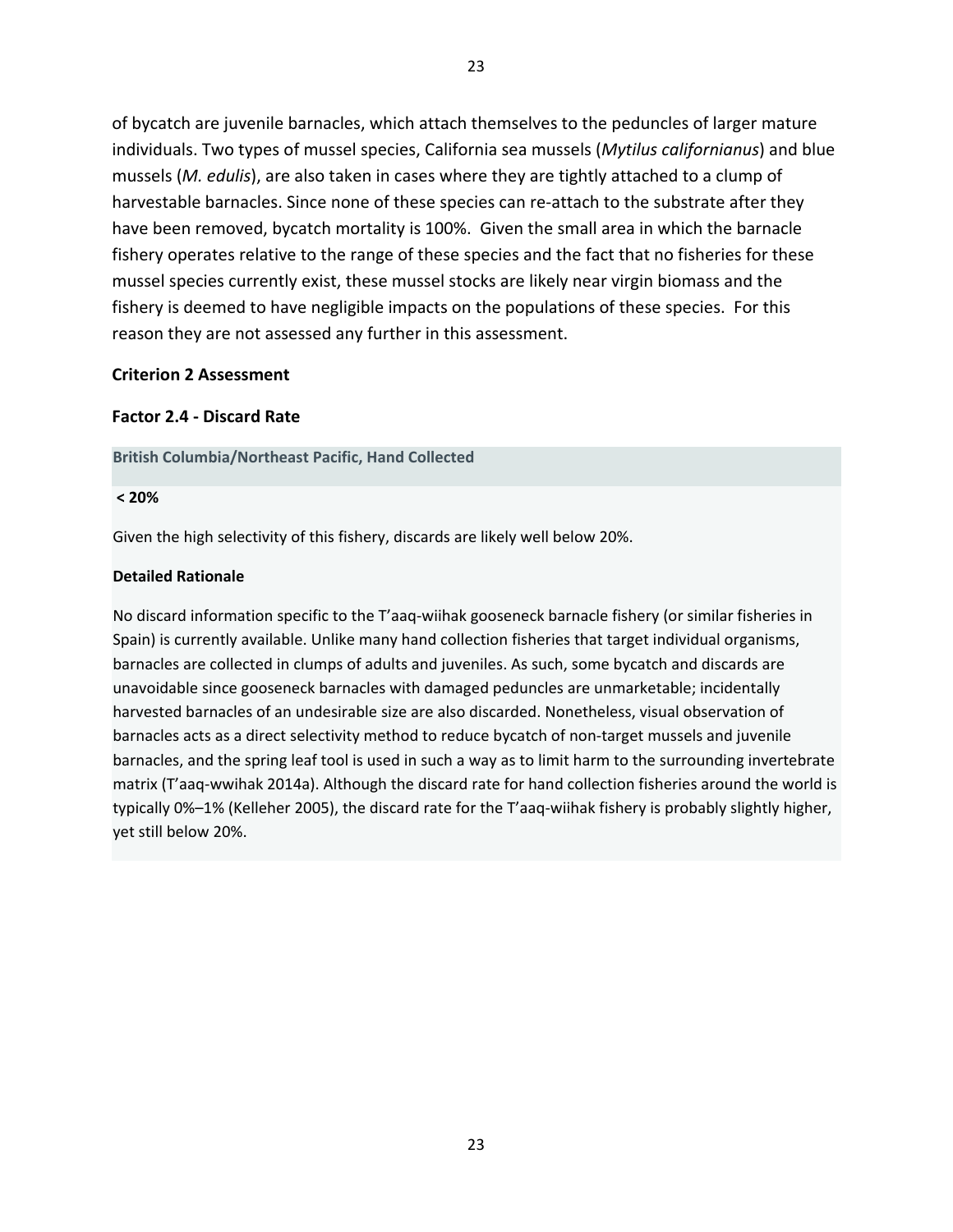of bycatch are juvenile barnacles, which attach themselves to the peduncles of larger mature individuals. Two types of mussel species, California sea mussels (*Mytilus californianus*) and blue mussels (*M. edulis*), are also taken in cases where they are tightly attached to a clump of harvestable barnacles. Since none of these species can re-attach to the substrate after they have been removed, bycatch mortality is 100%. Given the small area in which the barnacle fishery operates relative to the range of these species and the fact that no fisheries for these mussel species currently exist, these mussel stocks are likely near virgin biomass and the fishery is deemed to have negligible impacts on the populations of these species. For this reason they are not assessed any further in this assessment.

#### **Criterion 2 Assessment**

#### **Factor 2.4 - Discard Rate**

#### **British Columbia/Northeast Pacific, Hand Collected**

#### **< 20%**

Given the high selectivity of this fishery, discards are likely well below 20%.

#### **Detailed Rationale**

No discard information specific to the T'aaq-wiihak gooseneck barnacle fishery (or similar fisheries in Spain) is currently available. Unlike many hand collection fisheries that target individual organisms, barnacles are collected in clumps of adults and juveniles. As such, some bycatch and discards are unavoidable since gooseneck barnacles with damaged peduncles are unmarketable; incidentally harvested barnacles of an undesirable size are also discarded. Nonetheless, visual observation of barnacles acts as a direct selectivity method to reduce bycatch of non-target mussels and juvenile barnacles, and the spring leaf tool is used in such a way as to limit harm to the surrounding invertebrate matrix (T'aaq-wwihak 2014a). Although the discard rate for hand collection fisheries around the world is typically 0%–1% (Kelleher 2005), the discard rate for the T'aaq-wiihak fishery is probably slightly higher, yet still below 20%.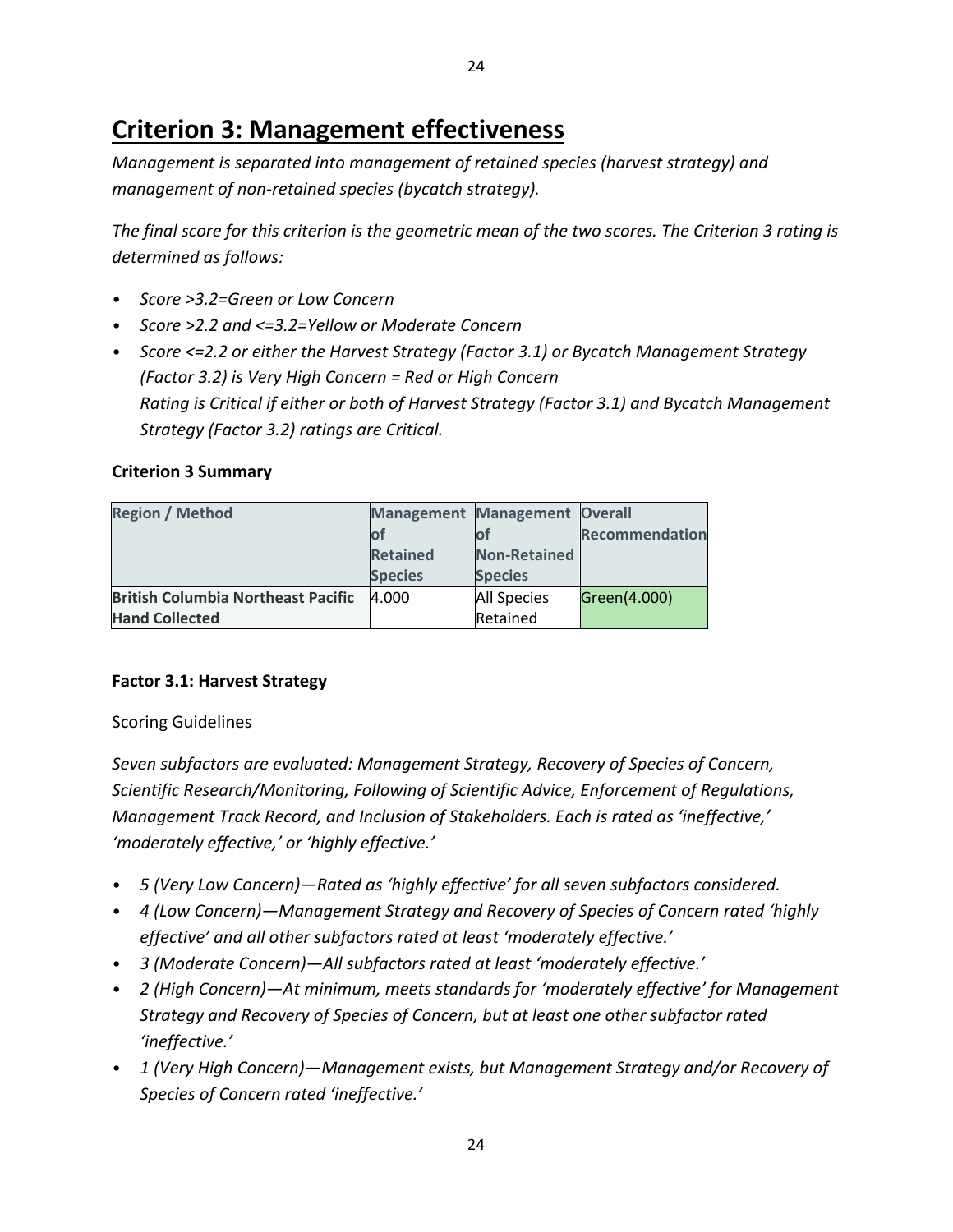# **Criterion 3: Management effectiveness**

*Management is separated into management of retained species (harvest strategy) and management of non-retained species (bycatch strategy).* 

*The final score for this criterion is the geometric mean of the two scores. The Criterion 3 rating is determined as follows:*

- *Score >3.2=Green or Low Concern*
- *Score >2.2 and <=3.2=Yellow or Moderate Concern*
- *Score <=2.2 or either the Harvest Strategy (Factor 3.1) or Bycatch Management Strategy (Factor 3.2) is Very High Concern = Red or High Concern Rating is Critical if either or both of Harvest Strategy (Factor 3.1) and Bycatch Management Strategy (Factor 3.2) ratings are Critical.*

## **Criterion 3 Summary**

| <b>Region / Method</b>                    | <b>Management Management Overall</b> |                     |                |
|-------------------------------------------|--------------------------------------|---------------------|----------------|
|                                           |                                      |                     | Recommendation |
|                                           | <b>Retained</b>                      | <b>Non-Retained</b> |                |
|                                           | <b>Species</b>                       | <b>Species</b>      |                |
| <b>British Columbia Northeast Pacific</b> | 4.000                                | <b>All Species</b>  | Green(4.000)   |
| <b>Hand Collected</b>                     |                                      | Retained            |                |

# **Factor 3.1: Harvest Strategy**

## Scoring Guidelines

*Seven subfactors are evaluated: Management Strategy, Recovery of Species of Concern, Scientific Research/Monitoring, Following of Scientific Advice, Enforcement of Regulations, Management Track Record, and Inclusion of Stakeholders. Each is rated as 'ineffective,' 'moderately effective,' or 'highly effective.'*

- *5 (Very Low Concern)—Rated as 'highly effective' for all seven subfactors considered.*
- *4 (Low Concern)—Management Strategy and Recovery of Species of Concern rated 'highly effective' and all other subfactors rated at least 'moderately effective.'*
- *3 (Moderate Concern)—All subfactors rated at least 'moderately effective.'*
- *2 (High Concern)—At minimum, meets standards for 'moderately effective' for Management Strategy and Recovery of Species of Concern, but at least one other subfactor rated 'ineffective.'*
- *1 (Very High Concern)—Management exists, but Management Strategy and/or Recovery of Species of Concern rated 'ineffective.'*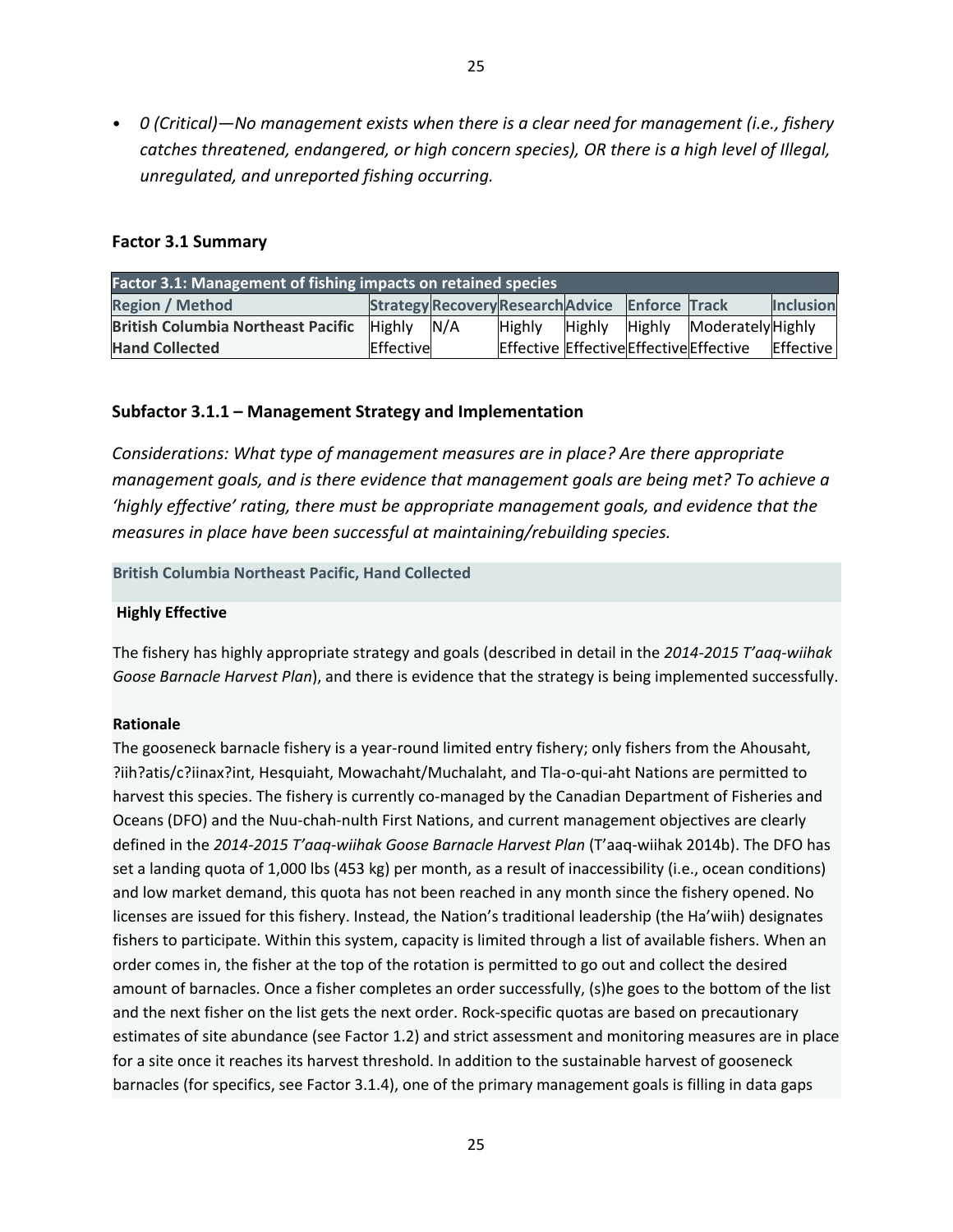• *0 (Critical)—No management exists when there is a clear need for management (i.e., fishery catches threatened, endangered, or high concern species), OR there is a high level of Illegal, unregulated, and unreported fishing occurring.*

#### **Factor 3.1 Summary**

| Factor 3.1: Management of fishing impacts on retained species |               |     |                                                 |               |  |                                         |                  |  |
|---------------------------------------------------------------|---------------|-----|-------------------------------------------------|---------------|--|-----------------------------------------|------------------|--|
| <b>Region / Method</b>                                        |               |     | Strategy Recovery Research Advice Enforce Track |               |  |                                         | <b>Inclusion</b> |  |
| <b>British Columbia Northeast Pacific</b>                     | <b>Highly</b> | N/A | <b>Highly</b>                                   | <b>Highly</b> |  | Highly Moderately Highly                |                  |  |
| <b>Hand Collected</b>                                         | Effective     |     |                                                 |               |  | Effective Effective Effective Effective | Effective        |  |

#### **Subfactor 3.1.1 – Management Strategy and Implementation**

*Considerations: What type of management measures are in place? Are there appropriate management goals, and is there evidence that management goals are being met? To achieve a 'highly effective' rating, there must be appropriate management goals, and evidence that the measures in place have been successful at maintaining/rebuilding species.*

**British Columbia Northeast Pacific, Hand Collected**

#### **Highly Effective**

The fishery has highly appropriate strategy and goals (described in detail in the *2014-2015 T'aaq-wiihak Goose Barnacle Harvest Plan*), and there is evidence that the strategy is being implemented successfully.

#### **Rationale**

The gooseneck barnacle fishery is a year-round limited entry fishery; only fishers from the Ahousaht, ?iih?atis/c?iinax?int, Hesquiaht, Mowachaht/Muchalaht, and Tla-o-qui-aht Nations are permitted to harvest this species. The fishery is currently co-managed by the Canadian Department of Fisheries and Oceans (DFO) and the Nuu-chah-nulth First Nations, and current management objectives are clearly defined in the *2014-2015 T'aaq-wiihak Goose Barnacle Harvest Plan* (T'aaq-wiihak 2014b). The DFO has set a landing quota of 1,000 lbs (453 kg) per month, as a result of inaccessibility (i.e., ocean conditions) and low market demand, this quota has not been reached in any month since the fishery opened. No licenses are issued for this fishery. Instead, the Nation's traditional leadership (the Ha'wiih) designates fishers to participate. Within this system, capacity is limited through a list of available fishers. When an order comes in, the fisher at the top of the rotation is permitted to go out and collect the desired amount of barnacles. Once a fisher completes an order successfully, (s)he goes to the bottom of the list and the next fisher on the list gets the next order. Rock-specific quotas are based on precautionary estimates of site abundance (see Factor 1.2) and strict assessment and monitoring measures are in place for a site once it reaches its harvest threshold. In addition to the sustainable harvest of gooseneck barnacles (for specifics, see Factor 3.1.4), one of the primary management goals is filling in data gaps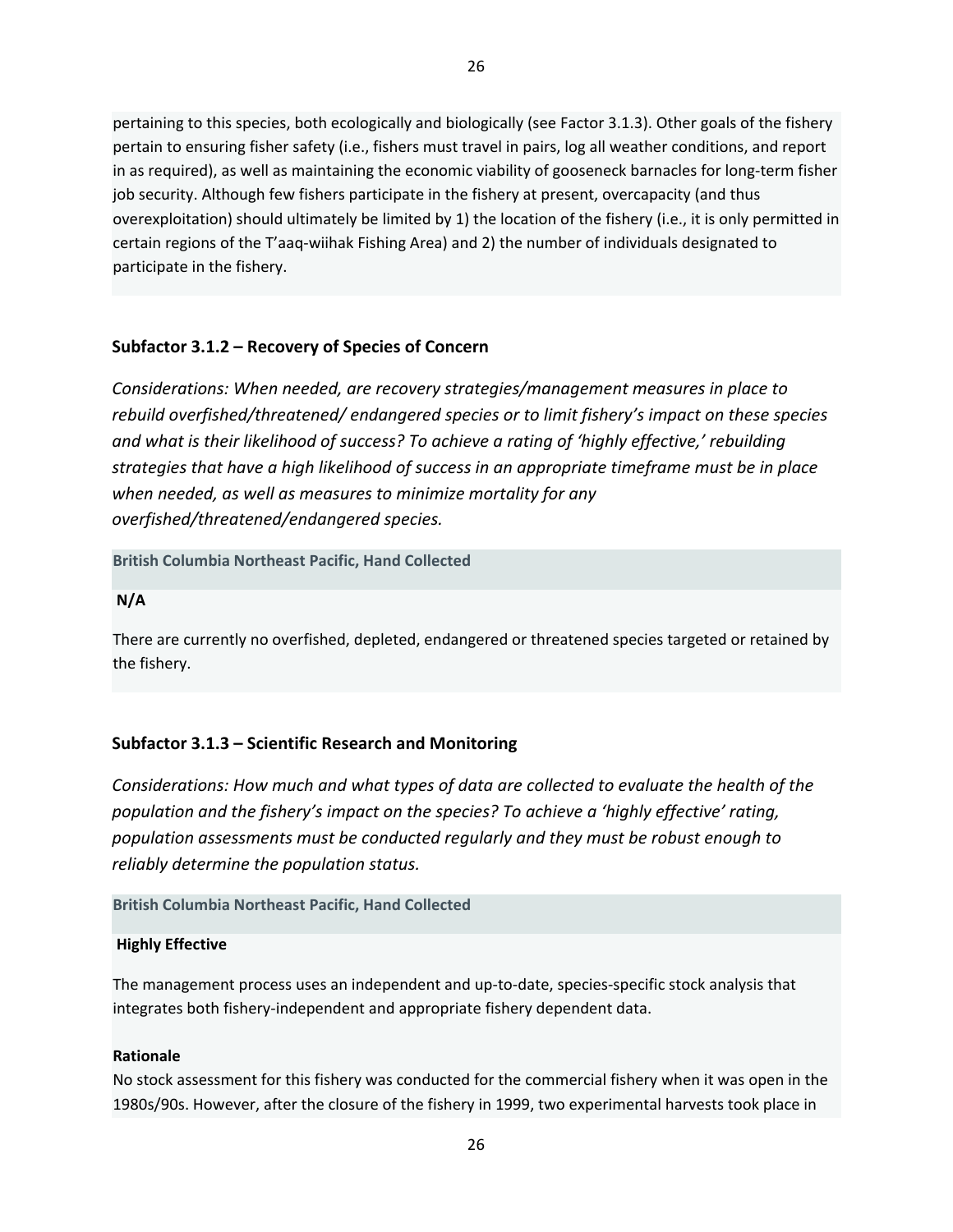pertaining to this species, both ecologically and biologically (see Factor 3.1.3). Other goals of the fishery pertain to ensuring fisher safety (i.e., fishers must travel in pairs, log all weather conditions, and report in as required), as well as maintaining the economic viability of gooseneck barnacles for long-term fisher job security. Although few fishers participate in the fishery at present, overcapacity (and thus overexploitation) should ultimately be limited by 1) the location of the fishery (i.e., it is only permitted in certain regions of the T'aaq-wiihak Fishing Area) and 2) the number of individuals designated to participate in the fishery.

# **Subfactor 3.1.2 – Recovery of Species of Concern**

*Considerations: When needed, are recovery strategies/management measures in place to rebuild overfished/threatened/ endangered species or to limit fishery's impact on these species and what is their likelihood of success? To achieve a rating of 'highly effective,' rebuilding strategies that have a high likelihood of success in an appropriate timeframe must be in place when needed, as well as measures to minimize mortality for any overfished/threatened/endangered species.*

**British Columbia Northeast Pacific, Hand Collected**

**N/A**

There are currently no overfished, depleted, endangered or threatened species targeted or retained by the fishery.

# **Subfactor 3.1.3 – Scientific Research and Monitoring**

*Considerations: How much and what types of data are collected to evaluate the health of the population and the fishery's impact on the species? To achieve a 'highly effective' rating, population assessments must be conducted regularly and they must be robust enough to reliably determine the population status.* 

## **British Columbia Northeast Pacific, Hand Collected**

## **Highly Effective**

The management process uses an independent and up-to-date, species-specific stock analysis that integrates both fishery-independent and appropriate fishery dependent data.

#### **Rationale**

No stock assessment for this fishery was conducted for the commercial fishery when it was open in the 1980s/90s. However, after the closure of the fishery in 1999, two experimental harvests took place in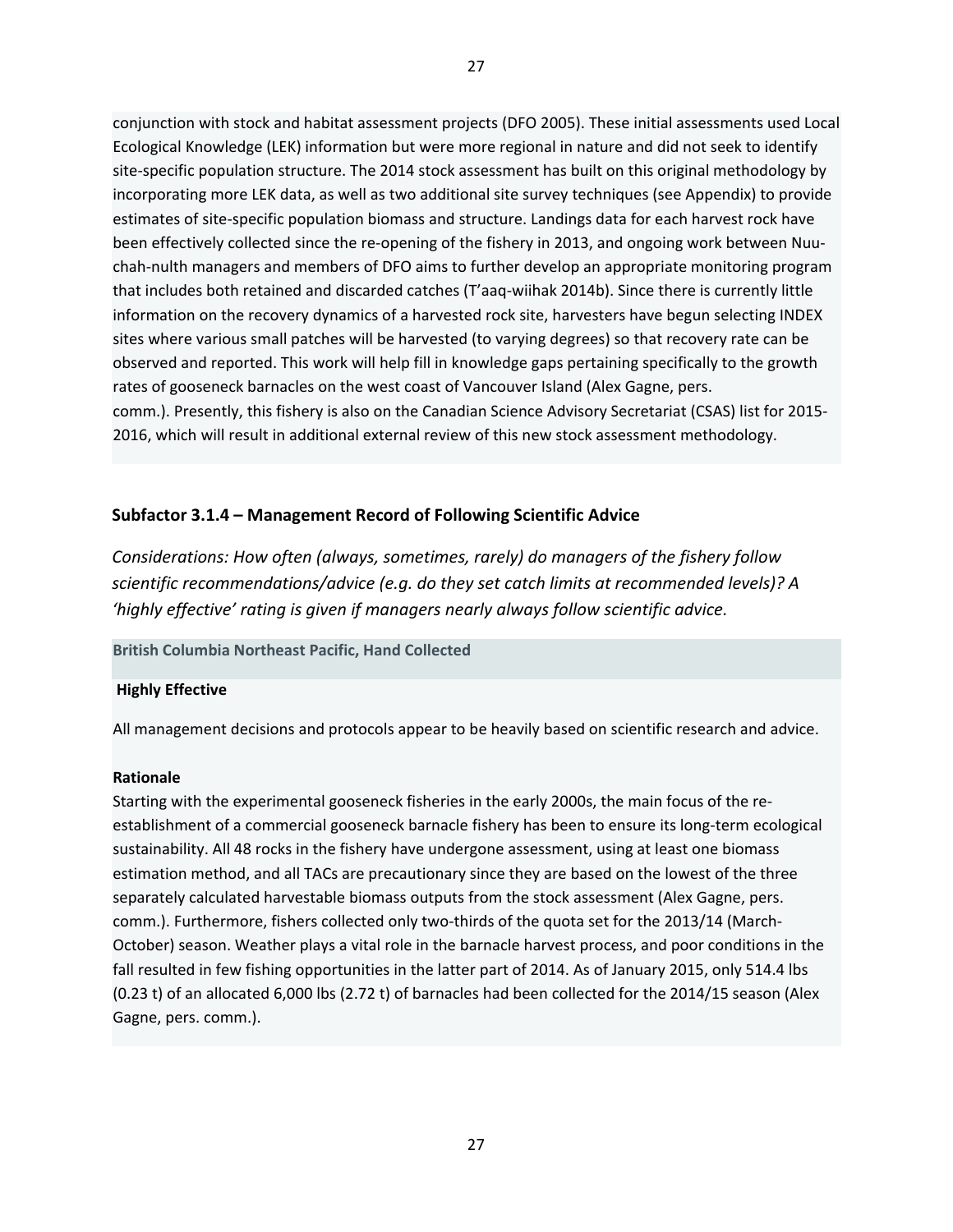conjunction with stock and habitat assessment projects (DFO 2005). These initial assessments used Local Ecological Knowledge (LEK) information but were more regional in nature and did not seek to identify site-specific population structure. The 2014 stock assessment has built on this original methodology by incorporating more LEK data, as well as two additional site survey techniques (see Appendix) to provide estimates of site-specific population biomass and structure. Landings data for each harvest rock have been effectively collected since the re-opening of the fishery in 2013, and ongoing work between Nuuchah-nulth managers and members of DFO aims to further develop an appropriate monitoring program that includes both retained and discarded catches (T'aaq-wiihak 2014b). Since there is currently little information on the recovery dynamics of a harvested rock site, harvesters have begun selecting INDEX sites where various small patches will be harvested (to varying degrees) so that recovery rate can be observed and reported. This work will help fill in knowledge gaps pertaining specifically to the growth rates of gooseneck barnacles on the west coast of Vancouver Island (Alex Gagne, pers. comm.). Presently, this fishery is also on the Canadian Science Advisory Secretariat (CSAS) list for 2015- 2016, which will result in additional external review of this new stock assessment methodology.

### **Subfactor 3.1.4 – Management Record of Following Scientific Advice**

*Considerations: How often (always, sometimes, rarely) do managers of the fishery follow scientific recommendations/advice (e.g. do they set catch limits at recommended levels)? A 'highly effective' rating is given if managers nearly always follow scientific advice.* 

#### **British Columbia Northeast Pacific, Hand Collected**

#### **Highly Effective**

All management decisions and protocols appear to be heavily based on scientific research and advice.

#### **Rationale**

Starting with the experimental gooseneck fisheries in the early 2000s, the main focus of the reestablishment of a commercial gooseneck barnacle fishery has been to ensure its long-term ecological sustainability. All 48 rocks in the fishery have undergone assessment, using at least one biomass estimation method, and all TACs are precautionary since they are based on the lowest of the three separately calculated harvestable biomass outputs from the stock assessment (Alex Gagne, pers. comm.). Furthermore, fishers collected only two-thirds of the quota set for the 2013/14 (March-October) season. Weather plays a vital role in the barnacle harvest process, and poor conditions in the fall resulted in few fishing opportunities in the latter part of 2014. As of January 2015, only 514.4 lbs (0.23 t) of an allocated 6,000 lbs (2.72 t) of barnacles had been collected for the 2014/15 season (Alex Gagne, pers. comm.).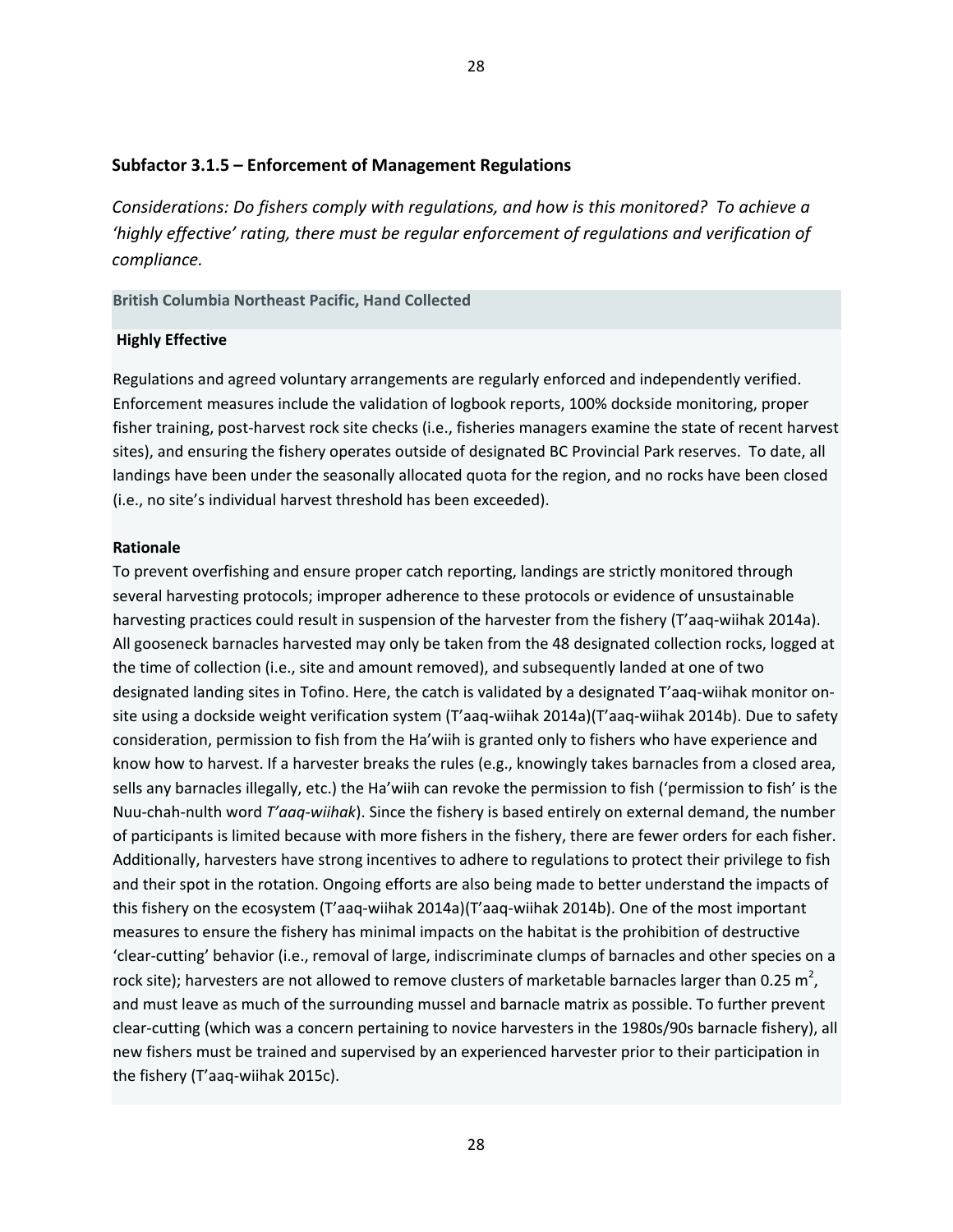#### **Subfactor 3.1.5 – Enforcement of Management Regulations**

*Considerations: Do fishers comply with regulations, and how is this monitored? To achieve a 'highly effective' rating, there must be regular enforcement of regulations and verification of compliance.* 

#### **British Columbia Northeast Pacific, Hand Collected**

#### **Highly Effective**

Regulations and agreed voluntary arrangements are regularly enforced and independently verified. Enforcement measures include the validation of logbook reports, 100% dockside monitoring, proper fisher training, post-harvest rock site checks (i.e., fisheries managers examine the state of recent harvest sites), and ensuring the fishery operates outside of designated BC Provincial Park reserves. To date, all landings have been under the seasonally allocated quota for the region, and no rocks have been closed (i.e., no site's individual harvest threshold has been exceeded).

#### **Rationale**

To prevent overfishing and ensure proper catch reporting, landings are strictly monitored through several harvesting protocols; improper adherence to these protocols or evidence of unsustainable harvesting practices could result in suspension of the harvester from the fishery (T'aaq-wiihak 2014a). All gooseneck barnacles harvested may only be taken from the 48 designated collection rocks, logged at the time of collection (i.e., site and amount removed), and subsequently landed at one of two designated landing sites in Tofino. Here, the catch is validated by a designated T'aaq-wiihak monitor onsite using a dockside weight verification system (T'aaq-wiihak 2014a)(T'aaq-wiihak 2014b). Due to safety consideration, permission to fish from the Ha'wiih is granted only to fishers who have experience and know how to harvest. If a harvester breaks the rules (e.g., knowingly takes barnacles from a closed area, sells any barnacles illegally, etc.) the Ha'wiih can revoke the permission to fish ('permission to fish' is the Nuu-chah-nulth word *T'aaq-wiihak*). Since the fishery is based entirely on external demand, the number of participants is limited because with more fishers in the fishery, there are fewer orders for each fisher. Additionally, harvesters have strong incentives to adhere to regulations to protect their privilege to fish and their spot in the rotation. Ongoing efforts are also being made to better understand the impacts of this fishery on the ecosystem (T'aaq-wiihak 2014a)(T'aaq-wiihak 2014b). One of the most important measures to ensure the fishery has minimal impacts on the habitat is the prohibition of destructive 'clear-cutting' behavior (i.e., removal of large, indiscriminate clumps of barnacles and other species on a rock site); harvesters are not allowed to remove clusters of marketable barnacles larger than 0.25  $m^2$ , and must leave as much of the surrounding mussel and barnacle matrix as possible. To further prevent clear-cutting (which was a concern pertaining to novice harvesters in the 1980s/90s barnacle fishery), all new fishers must be trained and supervised by an experienced harvester prior to their participation in the fishery (T'aaq-wiihak 2015c).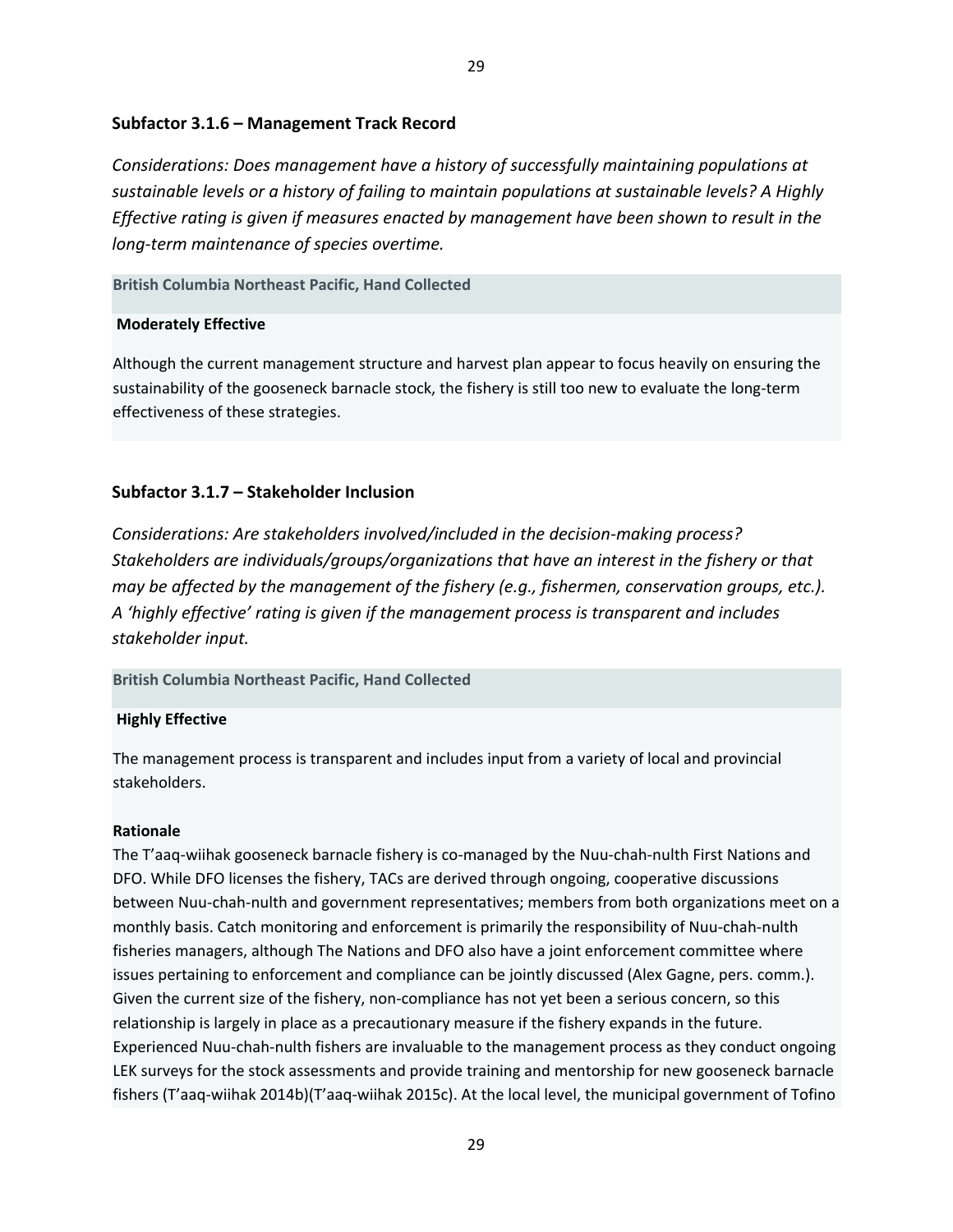### **Subfactor 3.1.6 – Management Track Record**

*Considerations: Does management have a history of successfully maintaining populations at sustainable levels or a history of failing to maintain populations at sustainable levels? A Highly Effective rating is given if measures enacted by management have been shown to result in the long-term maintenance of species overtime.* 

#### **British Columbia Northeast Pacific, Hand Collected**

#### **Moderately Effective**

Although the current management structure and harvest plan appear to focus heavily on ensuring the sustainability of the gooseneck barnacle stock, the fishery is still too new to evaluate the long-term effectiveness of these strategies.

### **Subfactor 3.1.7 – Stakeholder Inclusion**

*Considerations: Are stakeholders involved/included in the decision-making process? Stakeholders are individuals/groups/organizations that have an interest in the fishery or that may be affected by the management of the fishery (e.g., fishermen, conservation groups, etc.). A 'highly effective' rating is given if the management process is transparent and includes stakeholder input.* 

#### **British Columbia Northeast Pacific, Hand Collected**

#### **Highly Effective**

The management process is transparent and includes input from a variety of local and provincial stakeholders.

#### **Rationale**

The T'aaq-wiihak gooseneck barnacle fishery is co-managed by the Nuu-chah-nulth First Nations and DFO. While DFO licenses the fishery, TACs are derived through ongoing, cooperative discussions between Nuu-chah-nulth and government representatives; members from both organizations meet on a monthly basis. Catch monitoring and enforcement is primarily the responsibility of Nuu-chah-nulth fisheries managers, although The Nations and DFO also have a joint enforcement committee where issues pertaining to enforcement and compliance can be jointly discussed (Alex Gagne, pers. comm.). Given the current size of the fishery, non-compliance has not yet been a serious concern, so this relationship is largely in place as a precautionary measure if the fishery expands in the future. Experienced Nuu-chah-nulth fishers are invaluable to the management process as they conduct ongoing LEK surveys for the stock assessments and provide training and mentorship for new gooseneck barnacle fishers (T'aaq-wiihak 2014b)(T'aaq-wiihak 2015c). At the local level, the municipal government of Tofino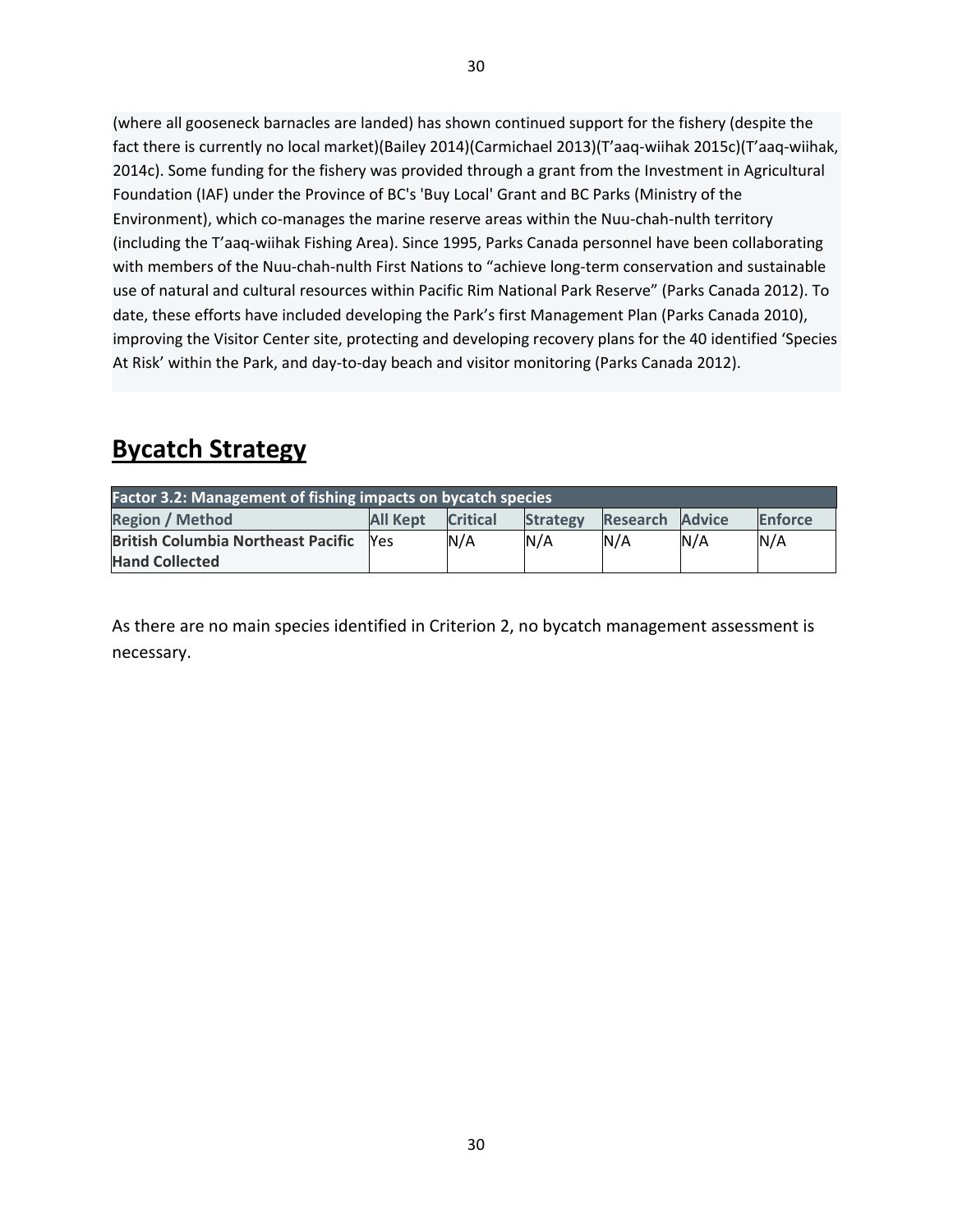(where all gooseneck barnacles are landed) has shown continued support for the fishery (despite the fact there is currently no local market)(Bailey 2014)(Carmichael 2013)(T'aaq-wiihak 2015c)(T'aaq-wiihak, 2014c). Some funding for the fishery was provided through a grant from the Investment in Agricultural Foundation (IAF) under the Province of BC's 'Buy Local' Grant and BC Parks (Ministry of the Environment), which co-manages the marine reserve areas within the Nuu-chah-nulth territory (including the T'aaq-wiihak Fishing Area). Since 1995, Parks Canada personnel have been collaborating with members of the Nuu-chah-nulth First Nations to "achieve long-term conservation and sustainable use of natural and cultural resources within Pacific Rim National Park Reserve" (Parks Canada 2012). To date, these efforts have included developing the Park's first Management Plan (Parks Canada 2010), improving the Visitor Center site, protecting and developing recovery plans for the 40 identified 'Species At Risk' within the Park, and day-to-day beach and visitor monitoring (Parks Canada 2012).

# **Bycatch Strategy**

| <b>Factor 3.2: Management of fishing impacts on bycatch species</b> |                 |                 |                 |          |               |                |  |
|---------------------------------------------------------------------|-----------------|-----------------|-----------------|----------|---------------|----------------|--|
| <b>Region / Method</b>                                              | <b>All Kept</b> | <b>Critical</b> | <b>Strategy</b> | Research | <b>Advice</b> | <b>Enforce</b> |  |
| <b>British Columbia Northeast Pacific</b>                           | <b>Nes</b>      | N/A             | N/A             | N/A      | N/A           | N/A            |  |
| <b>Hand Collected</b>                                               |                 |                 |                 |          |               |                |  |

As there are no main species identified in Criterion 2, no bycatch management assessment is necessary.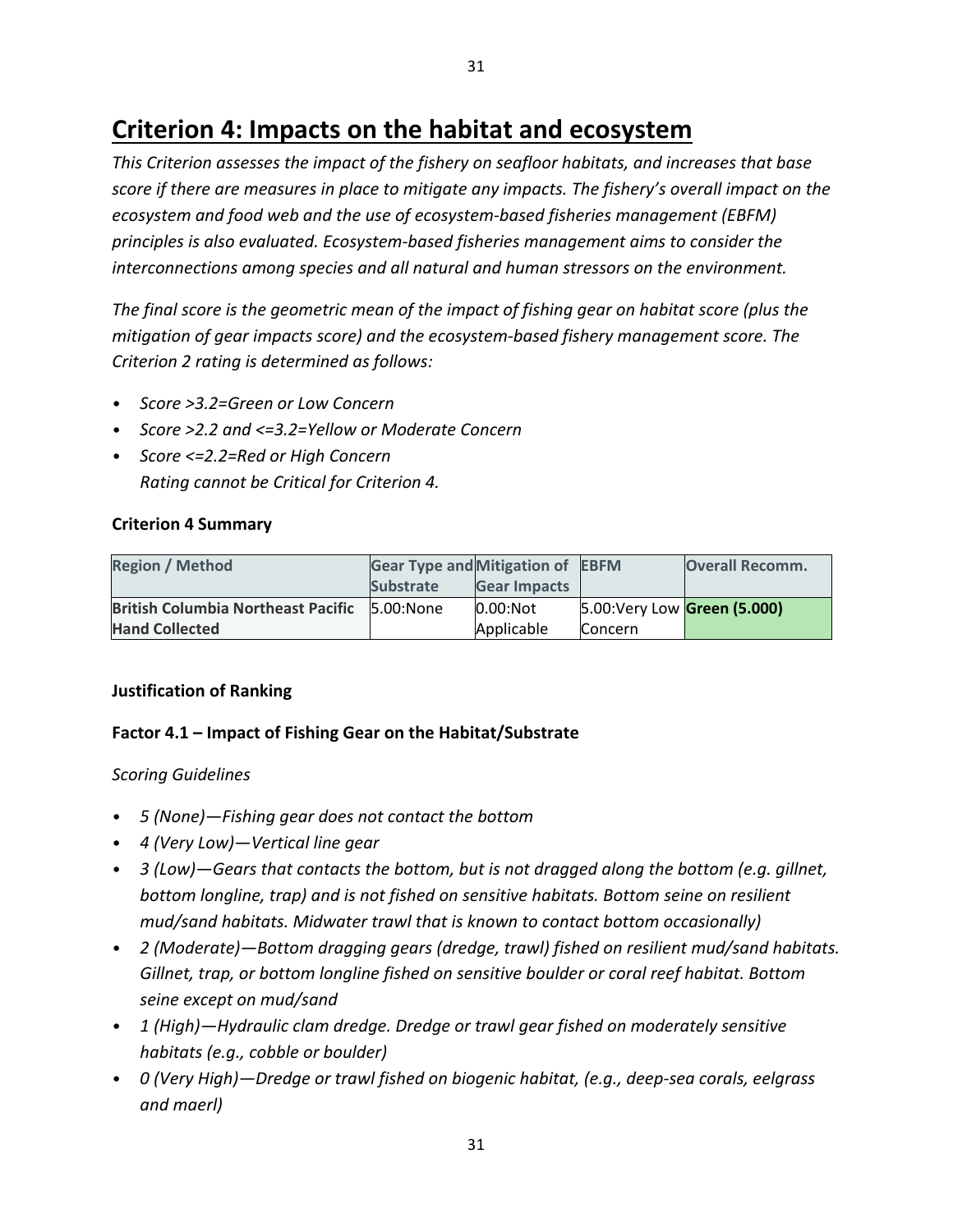# **Criterion 4: Impacts on the habitat and ecosystem**

*This Criterion assesses the impact of the fishery on seafloor habitats, and increases that base score if there are measures in place to mitigate any impacts. The fishery's overall impact on the ecosystem and food web and the use of ecosystem-based fisheries management (EBFM) principles is also evaluated. Ecosystem-based fisheries management aims to consider the interconnections among species and all natural and human stressors on the environment.* 

*The final score is the geometric mean of the impact of fishing gear on habitat score (plus the mitigation of gear impacts score) and the ecosystem-based fishery management score. The Criterion 2 rating is determined as follows:*

- *Score >3.2=Green or Low Concern*
- *Score >2.2 and <=3.2=Yellow or Moderate Concern*
- *Score <=2.2=Red or High Concern Rating cannot be Critical for Criterion 4.*

## **Criterion 4 Summary**

| <b>Region / Method</b>                    | <b>Gear Type and Mitigation of EBFM</b> |                     |                              | <b>Overall Recomm.</b> |
|-------------------------------------------|-----------------------------------------|---------------------|------------------------------|------------------------|
|                                           | <b>Substrate</b>                        | <b>Gear Impacts</b> |                              |                        |
| <b>British Columbia Northeast Pacific</b> | 5.00:None                               | $0.00$ :Not         | 5.00: Very Low Green (5.000) |                        |
| <b>Hand Collected</b>                     |                                         | Applicable          | <b>Concern</b>               |                        |

## **Justification of Ranking**

## **Factor 4.1 – Impact of Fishing Gear on the Habitat/Substrate**

## *Scoring Guidelines*

- *5 (None)—Fishing gear does not contact the bottom*
- *4 (Very Low)—Vertical line gear*
- *3 (Low)—Gears that contacts the bottom, but is not dragged along the bottom (e.g. gillnet, bottom longline, trap) and is not fished on sensitive habitats. Bottom seine on resilient mud/sand habitats. Midwater trawl that is known to contact bottom occasionally)*
- *2 (Moderate)—Bottom dragging gears (dredge, trawl) fished on resilient mud/sand habitats. Gillnet, trap, or bottom longline fished on sensitive boulder or coral reef habitat. Bottom seine except on mud/sand*
- *1 (High)—Hydraulic clam dredge. Dredge or trawl gear fished on moderately sensitive habitats (e.g., cobble or boulder)*
- *0 (Very High)—Dredge or trawl fished on biogenic habitat, (e.g., deep-sea corals, eelgrass and maerl)*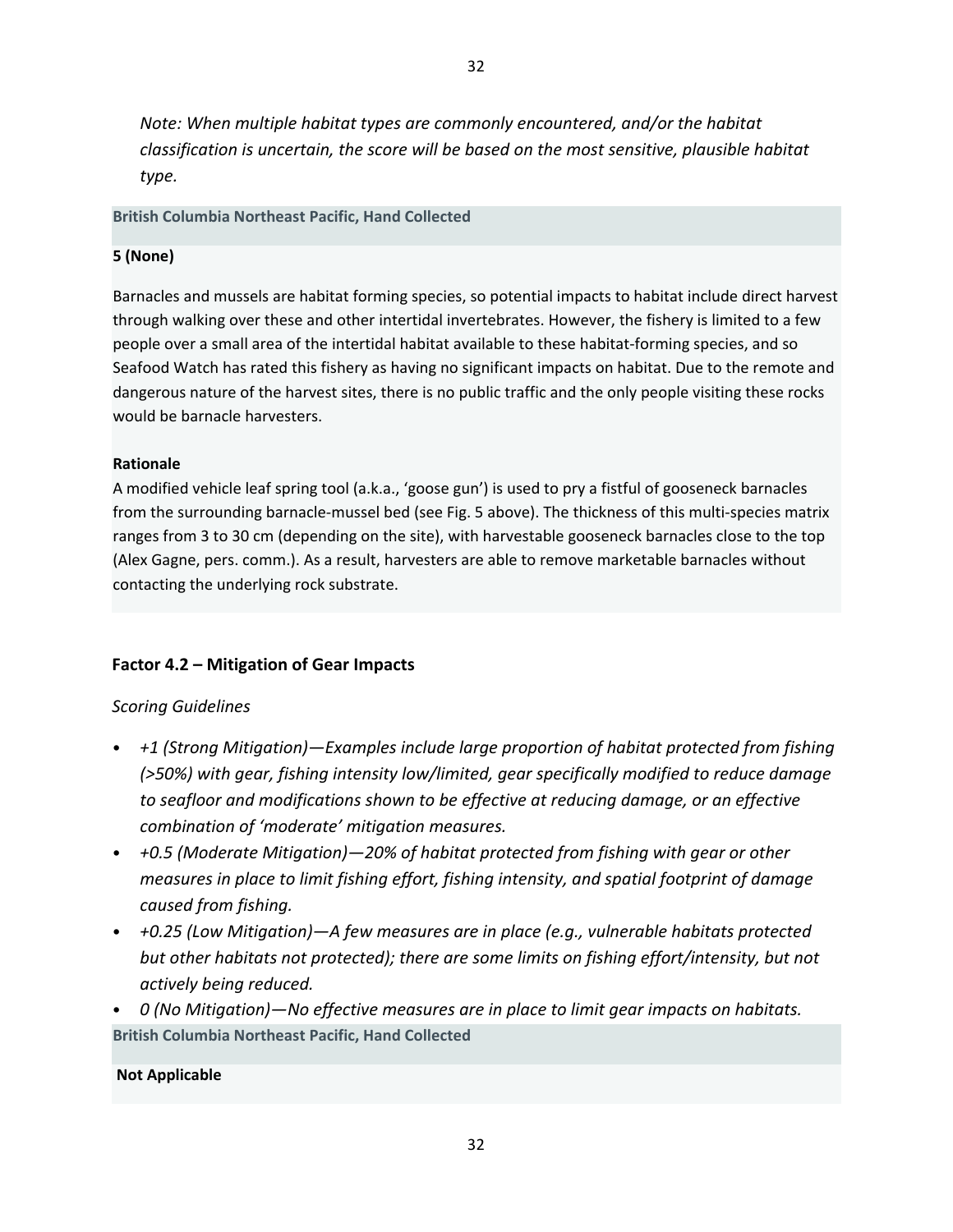*Note: When multiple habitat types are commonly encountered, and/or the habitat classification is uncertain, the score will be based on the most sensitive, plausible habitat type.*

### **British Columbia Northeast Pacific, Hand Collected**

## **5 (None)**

Barnacles and mussels are habitat forming species, so potential impacts to habitat include direct harvest through walking over these and other intertidal invertebrates. However, the fishery is limited to a few people over a small area of the intertidal habitat available to these habitat-forming species, and so Seafood Watch has rated this fishery as having no significant impacts on habitat. Due to the remote and dangerous nature of the harvest sites, there is no public traffic and the only people visiting these rocks would be barnacle harvesters.

## **Rationale**

A modified vehicle leaf spring tool (a.k.a., 'goose gun') is used to pry a fistful of gooseneck barnacles from the surrounding barnacle-mussel bed (see Fig. 5 above). The thickness of this multi-species matrix ranges from 3 to 30 cm (depending on the site), with harvestable gooseneck barnacles close to the top (Alex Gagne, pers. comm.). As a result, harvesters are able to remove marketable barnacles without contacting the underlying rock substrate.

# **Factor 4.2 – Mitigation of Gear Impacts**

## *Scoring Guidelines*

- *+1 (Strong Mitigation)—Examples include large proportion of habitat protected from fishing (>50%) with gear, fishing intensity low/limited, gear specifically modified to reduce damage to seafloor and modifications shown to be effective at reducing damage, or an effective combination of 'moderate' mitigation measures.*
- *+0.5 (Moderate Mitigation)—20% of habitat protected from fishing with gear or other measures in place to limit fishing effort, fishing intensity, and spatial footprint of damage caused from fishing.*
- *+0.25 (Low Mitigation)—A few measures are in place (e.g., vulnerable habitats protected but other habitats not protected); there are some limits on fishing effort/intensity, but not actively being reduced.*
- *0 (No Mitigation)—No effective measures are in place to limit gear impacts on habitats.*  **British Columbia Northeast Pacific, Hand Collected**

## **Not Applicable**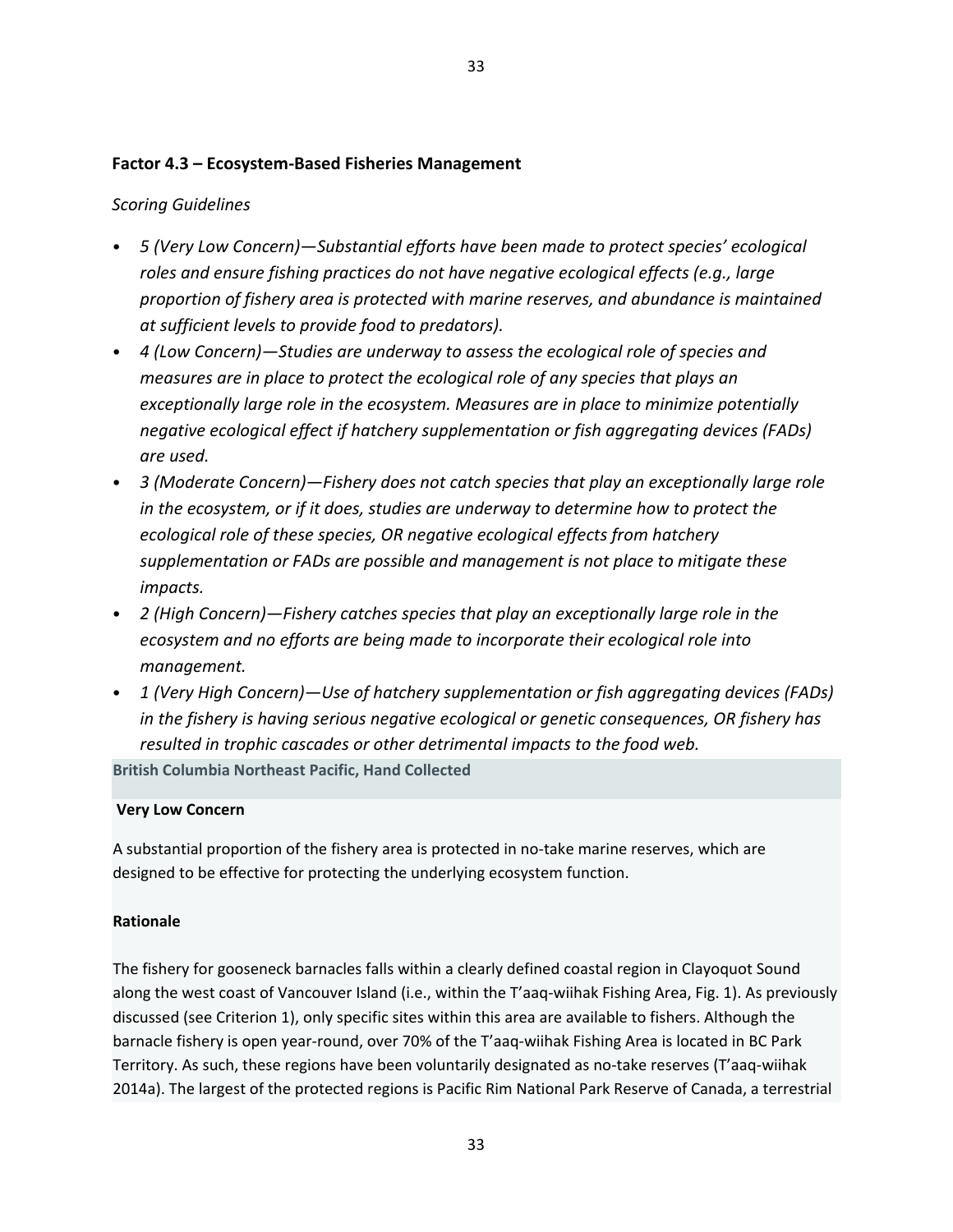### **Factor 4.3 – Ecosystem-Based Fisheries Management**

### *Scoring Guidelines*

- *5 (Very Low Concern)—Substantial efforts have been made to protect species' ecological roles and ensure fishing practices do not have negative ecological effects (e.g., large proportion of fishery area is protected with marine reserves, and abundance is maintained at sufficient levels to provide food to predators).*
- *4 (Low Concern)—Studies are underway to assess the ecological role of species and measures are in place to protect the ecological role of any species that plays an exceptionally large role in the ecosystem. Measures are in place to minimize potentially negative ecological effect if hatchery supplementation or fish aggregating devices (FADs) are used.*
- *3 (Moderate Concern)—Fishery does not catch species that play an exceptionally large role in the ecosystem, or if it does, studies are underway to determine how to protect the ecological role of these species, OR negative ecological effects from hatchery supplementation or FADs are possible and management is not place to mitigate these impacts.*
- *2 (High Concern)—Fishery catches species that play an exceptionally large role in the ecosystem and no efforts are being made to incorporate their ecological role into management.*
- *1 (Very High Concern)—Use of hatchery supplementation or fish aggregating devices (FADs) in the fishery is having serious negative ecological or genetic consequences, OR fishery has resulted in trophic cascades or other detrimental impacts to the food web.*

**British Columbia Northeast Pacific, Hand Collected**

#### **Very Low Concern**

A substantial proportion of the fishery area is protected in no-take marine reserves, which are designed to be effective for protecting the underlying ecosystem function.

#### **Rationale**

The fishery for gooseneck barnacles falls within a clearly defined coastal region in Clayoquot Sound along the west coast of Vancouver Island (i.e., within the T'aaq-wiihak Fishing Area, Fig. 1). As previously discussed (see Criterion 1), only specific sites within this area are available to fishers. Although the barnacle fishery is open year-round, over 70% of the T'aaq-wiihak Fishing Area is located in BC Park Territory. As such, these regions have been voluntarily designated as no-take reserves (T'aaq-wiihak 2014a). The largest of the protected regions is Pacific Rim National Park Reserve of Canada, a terrestrial

33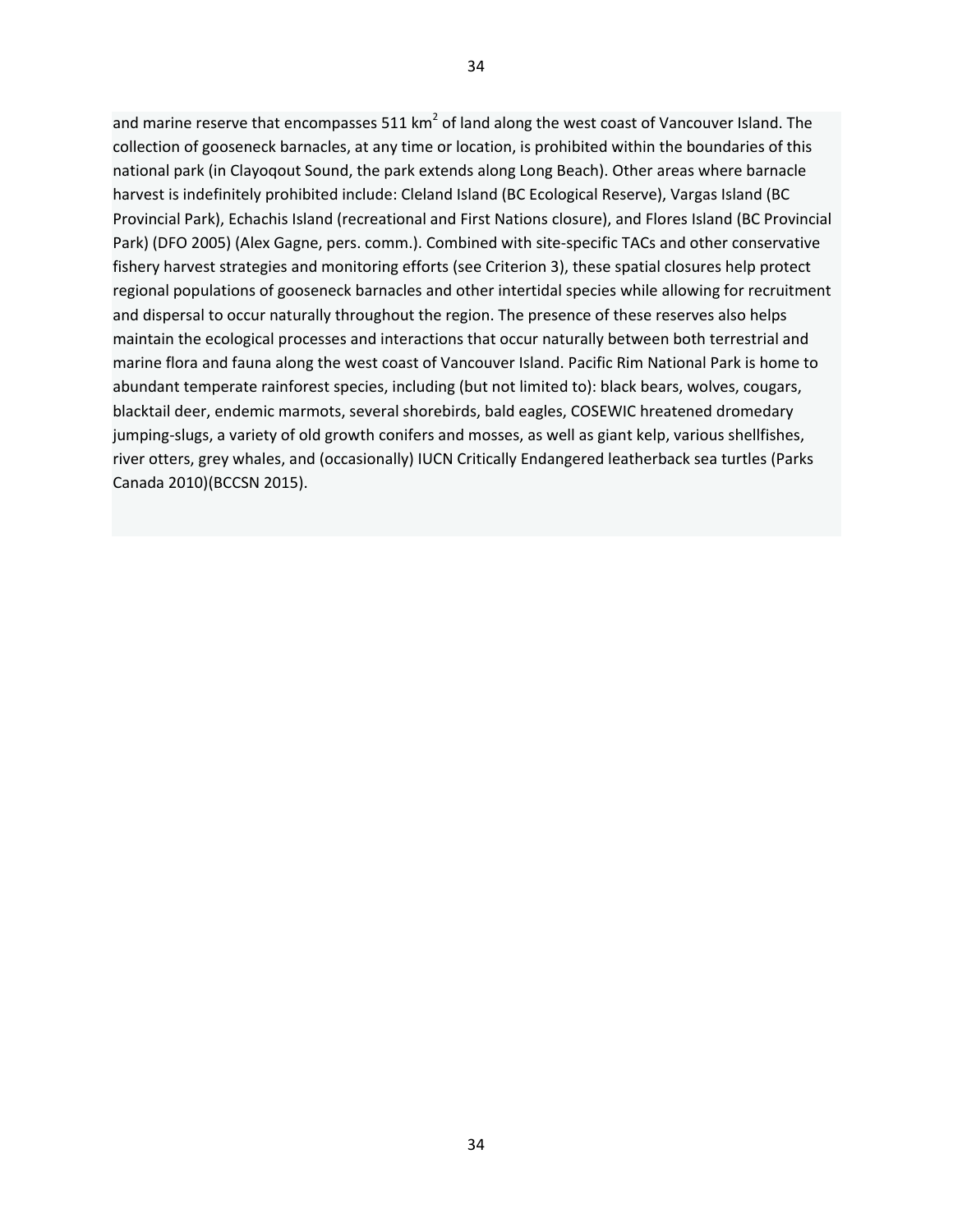and marine reserve that encompasses 511  $km^2$  of land along the west coast of Vancouver Island. The collection of gooseneck barnacles, at any time or location, is prohibited within the boundaries of this national park (in Clayoqout Sound, the park extends along Long Beach). Other areas where barnacle harvest is indefinitely prohibited include: Cleland Island (BC Ecological Reserve), Vargas Island (BC Provincial Park), Echachis Island (recreational and First Nations closure), and Flores Island (BC Provincial Park) (DFO 2005) (Alex Gagne, pers. comm.). Combined with site-specific TACs and other conservative fishery harvest strategies and monitoring efforts (see Criterion 3), these spatial closures help protect regional populations of gooseneck barnacles and other intertidal species while allowing for recruitment and dispersal to occur naturally throughout the region. The presence of these reserves also helps maintain the ecological processes and interactions that occur naturally between both terrestrial and marine flora and fauna along the west coast of Vancouver Island. Pacific Rim National Park is home to abundant temperate rainforest species, including (but not limited to): black bears, wolves, cougars, blacktail deer, endemic marmots, several shorebirds, bald eagles, COSEWIC hreatened dromedary jumping-slugs, a variety of old growth conifers and mosses, as well as giant kelp, various shellfishes, river otters, grey whales, and (occasionally) IUCN Critically Endangered leatherback sea turtles (Parks Canada 2010)(BCCSN 2015).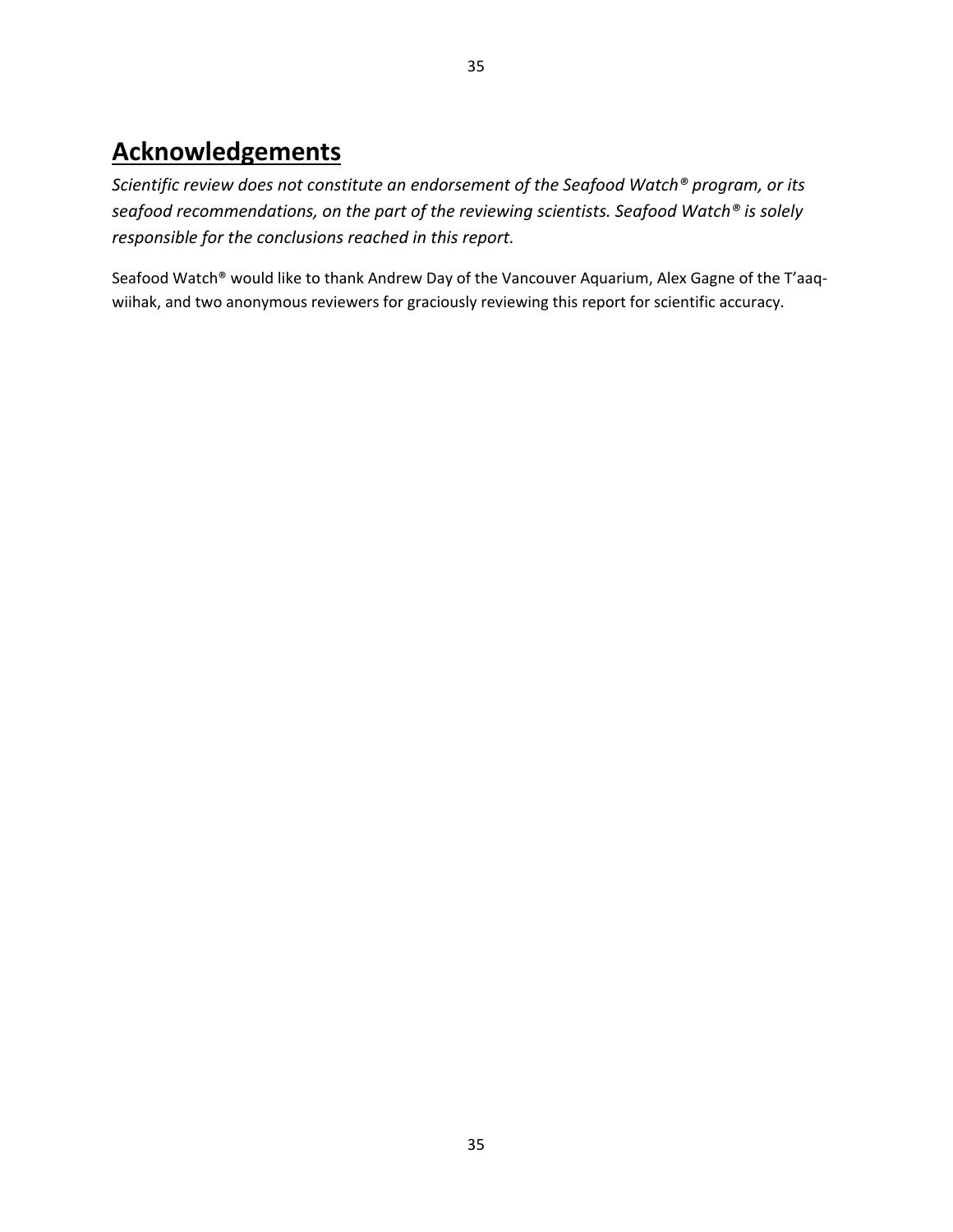# **Acknowledgements**

*Scientific review does not constitute an endorsement of the Seafood Watch® program, or its seafood recommendations, on the part of the reviewing scientists. Seafood Watch® is solely responsible for the conclusions reached in this report.*

Seafood Watch® would like to thank Andrew Day of the Vancouver Aquarium, Alex Gagne of the T'aaqwiihak, and two anonymous reviewers for graciously reviewing this report for scientific accuracy.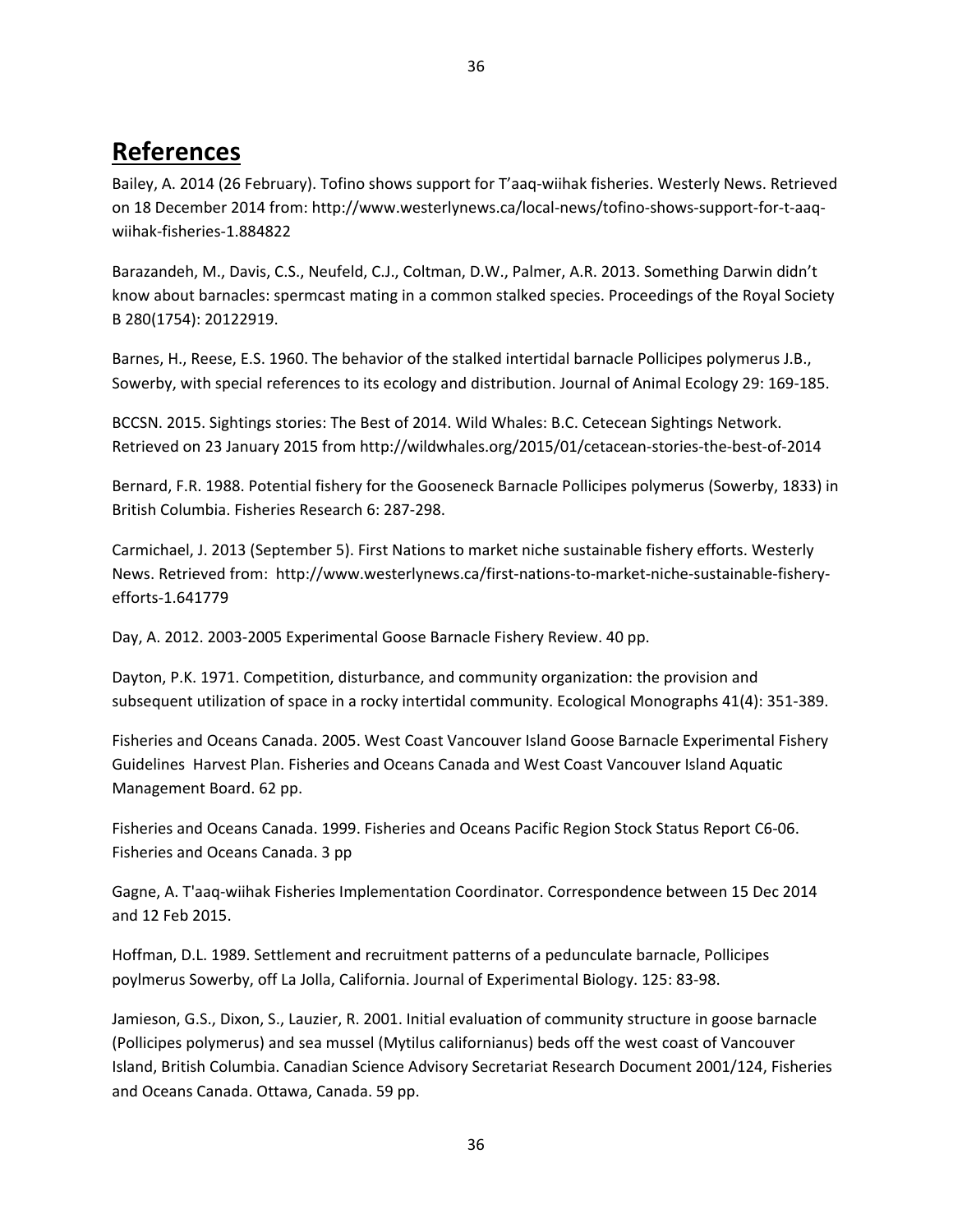# **References**

Bailey, A. 2014 (26 February). Tofino shows support for T'aaq-wiihak fisheries. Westerly News. Retrieved on 18 December 2014 from: http://www.westerlynews.ca/local-news/tofino-shows-support-for-t-aaqwiihak-fisheries-1.884822

Barazandeh, M., Davis, C.S., Neufeld, C.J., Coltman, D.W., Palmer, A.R. 2013. Something Darwin didn't know about barnacles: spermcast mating in a common stalked species. Proceedings of the Royal Society B 280(1754): 20122919.

Barnes, H., Reese, E.S. 1960. The behavior of the stalked intertidal barnacle Pollicipes polymerus J.B., Sowerby, with special references to its ecology and distribution. Journal of Animal Ecology 29: 169-185.

BCCSN. 2015. Sightings stories: The Best of 2014. Wild Whales: B.C. Cetecean Sightings Network. Retrieved on 23 January 2015 from http://wildwhales.org/2015/01/cetacean-stories-the-best-of-2014

Bernard, F.R. 1988. Potential fishery for the Gooseneck Barnacle Pollicipes polymerus (Sowerby, 1833) in British Columbia. Fisheries Research 6: 287-298.

Carmichael, J. 2013 (September 5). First Nations to market niche sustainable fishery efforts. Westerly News. Retrieved from: http://www.westerlynews.ca/first-nations-to-market-niche-sustainable-fisheryefforts-1.641779

Day, A. 2012. 2003-2005 Experimental Goose Barnacle Fishery Review. 40 pp.

Dayton, P.K. 1971. Competition, disturbance, and community organization: the provision and subsequent utilization of space in a rocky intertidal community. Ecological Monographs 41(4): 351-389.

Fisheries and Oceans Canada. 2005. West Coast Vancouver Island Goose Barnacle Experimental Fishery Guidelines Harvest Plan. Fisheries and Oceans Canada and West Coast Vancouver Island Aquatic Management Board. 62 pp.

Fisheries and Oceans Canada. 1999. Fisheries and Oceans Pacific Region Stock Status Report C6-06. Fisheries and Oceans Canada. 3 pp

Gagne, A. T'aaq-wiihak Fisheries Implementation Coordinator. Correspondence between 15 Dec 2014 and 12 Feb 2015.

Hoffman, D.L. 1989. Settlement and recruitment patterns of a pedunculate barnacle, Pollicipes poylmerus Sowerby, off La Jolla, California. Journal of Experimental Biology. 125: 83-98.

Jamieson, G.S., Dixon, S., Lauzier, R. 2001. Initial evaluation of community structure in goose barnacle (Pollicipes polymerus) and sea mussel (Mytilus californianus) beds off the west coast of Vancouver Island, British Columbia. Canadian Science Advisory Secretariat Research Document 2001/124, Fisheries and Oceans Canada. Ottawa, Canada. 59 pp.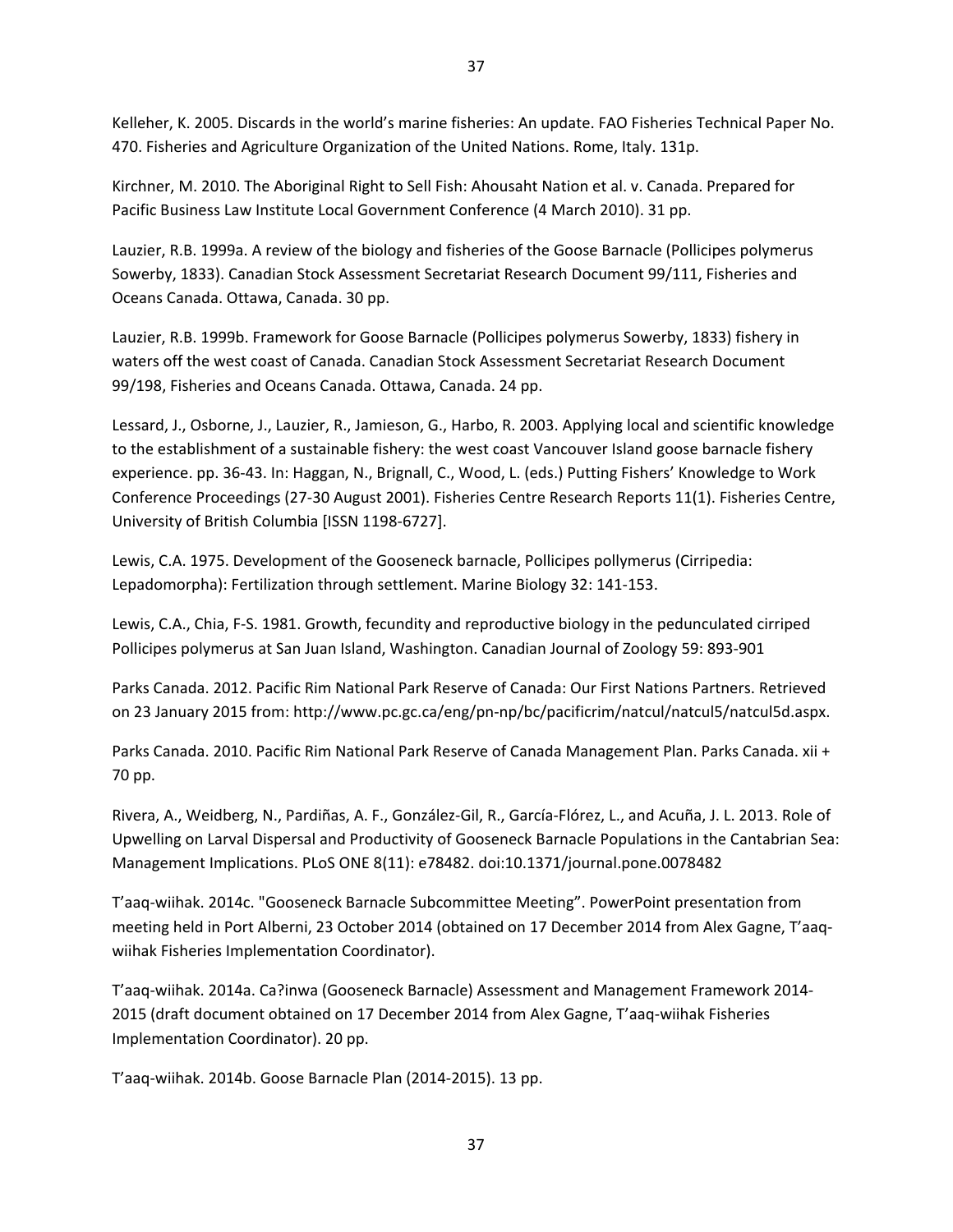Kelleher, K. 2005. Discards in the world's marine fisheries: An update. FAO Fisheries Technical Paper No. 470. Fisheries and Agriculture Organization of the United Nations. Rome, Italy. 131p.

Kirchner, M. 2010. The Aboriginal Right to Sell Fish: Ahousaht Nation et al. v. Canada. Prepared for Pacific Business Law Institute Local Government Conference (4 March 2010). 31 pp.

Lauzier, R.B. 1999a. A review of the biology and fisheries of the Goose Barnacle (Pollicipes polymerus Sowerby, 1833). Canadian Stock Assessment Secretariat Research Document 99/111, Fisheries and Oceans Canada. Ottawa, Canada. 30 pp.

Lauzier, R.B. 1999b. Framework for Goose Barnacle (Pollicipes polymerus Sowerby, 1833) fishery in waters off the west coast of Canada. Canadian Stock Assessment Secretariat Research Document 99/198, Fisheries and Oceans Canada. Ottawa, Canada. 24 pp.

Lessard, J., Osborne, J., Lauzier, R., Jamieson, G., Harbo, R. 2003. Applying local and scientific knowledge to the establishment of a sustainable fishery: the west coast Vancouver Island goose barnacle fishery experience. pp. 36-43. In: Haggan, N., Brignall, C., Wood, L. (eds.) Putting Fishers' Knowledge to Work Conference Proceedings (27-30 August 2001). Fisheries Centre Research Reports 11(1). Fisheries Centre, University of British Columbia [ISSN 1198-6727].

Lewis, C.A. 1975. Development of the Gooseneck barnacle, Pollicipes pollymerus (Cirripedia: Lepadomorpha): Fertilization through settlement. Marine Biology 32: 141-153.

Lewis, C.A., Chia, F-S. 1981. Growth, fecundity and reproductive biology in the pedunculated cirriped Pollicipes polymerus at San Juan Island, Washington. Canadian Journal of Zoology 59: 893-901

Parks Canada. 2012. Pacific Rim National Park Reserve of Canada: Our First Nations Partners. Retrieved on 23 January 2015 from: http://www.pc.gc.ca/eng/pn-np/bc/pacificrim/natcul/natcul5/natcul5d.aspx.

Parks Canada. 2010. Pacific Rim National Park Reserve of Canada Management Plan. Parks Canada. xii + 70 pp.

Rivera, A., Weidberg, N., Pardiñas, A. F., González-Gil, R., García-Flórez, L., and Acuña, J. L. 2013. Role of Upwelling on Larval Dispersal and Productivity of Gooseneck Barnacle Populations in the Cantabrian Sea: Management Implications. PLoS ONE 8(11): e78482. doi:10.1371/journal.pone.0078482

T'aaq-wiihak. 2014c. "Gooseneck Barnacle Subcommittee Meeting". PowerPoint presentation from meeting held in Port Alberni, 23 October 2014 (obtained on 17 December 2014 from Alex Gagne, T'aaqwiihak Fisheries Implementation Coordinator).

T'aaq-wiihak. 2014a. Ca?inwa (Gooseneck Barnacle) Assessment and Management Framework 2014- 2015 (draft document obtained on 17 December 2014 from Alex Gagne, T'aaq-wiihak Fisheries Implementation Coordinator). 20 pp.

T'aaq-wiihak. 2014b. Goose Barnacle Plan (2014-2015). 13 pp.